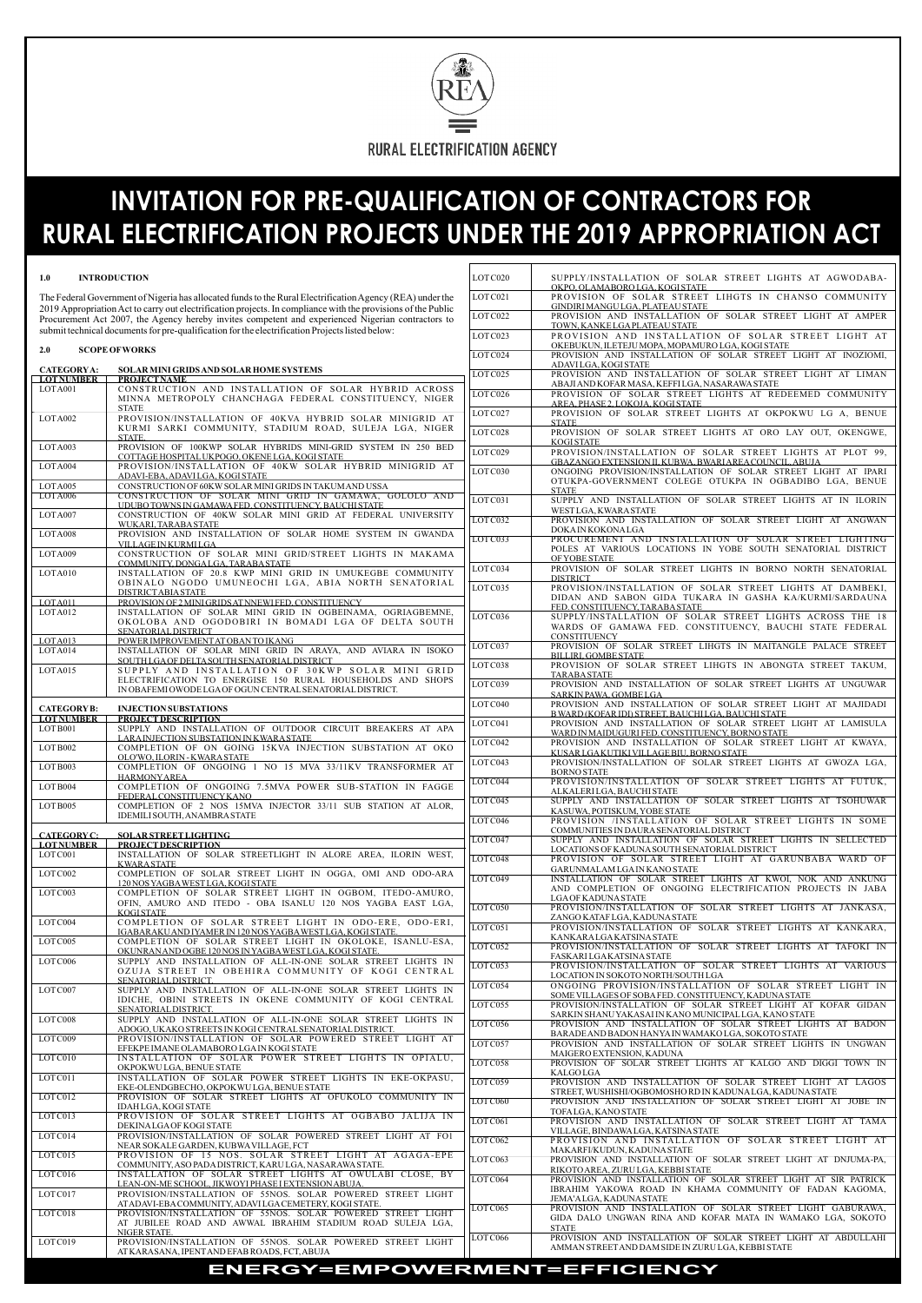

# **INVITATION FOR PRE-QUALIFICATION OF CONTRACTORS FOR RURAL ELECTRIFICATION PROJECTS UNDER THE 2019 APPROPRIATION ACT**

| 1.0                                                                                                                                                                                                                        | <b>INTRODUCTION</b>                                                                                                           | LOT C020 | SUPPLY/INSTALLATION OF SOLAR STREET LIGHTS AT AGWODABA-<br>OKPO, OLAMABORO LGA, KOGI STATE                              |
|----------------------------------------------------------------------------------------------------------------------------------------------------------------------------------------------------------------------------|-------------------------------------------------------------------------------------------------------------------------------|----------|-------------------------------------------------------------------------------------------------------------------------|
| The Federal Government of Nigeria has allocated funds to the Rural Electrification Agency (REA) under the<br>2019 Appropriation Act to carry out electrification projects. In compliance with the provisions of the Public |                                                                                                                               |          | PROVISION OF SOLAR STREET LIHGTS IN CHANSO COMMUNITY<br>GINDIRI MANGULGA, PLATEAU STATE                                 |
| Procurement Act 2007, the Agency hereby invites competent and experienced Nigerian contractors to                                                                                                                          |                                                                                                                               |          | PROVISION AND INSTALLATION OF SOLAR STREET LIGHT AT AMPER<br>TOWN, KANKE LGA PLATEAU STATE                              |
| submit technical documents for pre-qualification for the electrification Projects listed below:                                                                                                                            |                                                                                                                               |          | PROVISION AND INSTALLATION OF SOLAR STREET LIGHT AT<br>OKEBUKUN, ILETEJU MOPA, MOPAMURO LGA, KOGI STATE                 |
| 2.0                                                                                                                                                                                                                        | <b>SCOPE OF WORKS</b>                                                                                                         | LOTC024  | PROVISION AND INSTALLATION OF SOLAR STREET LIGHT AT INOZIOMI,<br>ADAVILGA, KOGI STATE                                   |
| <b>CATEGORYA:</b><br><b>LOT NUMBER</b>                                                                                                                                                                                     | SOLAR MINI GRIDS AND SOLAR HOME SYSTEMS<br><b>PROJECT NAME</b>                                                                | LOTC025  | PROVISION AND INSTALLATION OF SOLAR STREET LIGHT AT LIMAN<br>ABAJI AND KOFAR MASA, KEFFI LGA, NASARAWA STATE            |
| LOTA001                                                                                                                                                                                                                    | CONSTRUCTION AND INSTALLATION OF SOLAR HYBRID ACROSS<br>MINNA METROPOLY CHANCHAGA FEDERAL CONSTITUENCY, NIGER<br><b>STATE</b> | LOTC026  | PROVISION OF SOLAR STREET LIGHTS AT REDEEMED COMMUNITY<br>AREA, PHASE 2, LOKOJA, KOGI STATE                             |
| LOTA002                                                                                                                                                                                                                    | PROVISION/INSTALLATION OF 40KVA HYBRID SOLAR MINIGRID AT<br>KURMI SARKI COMMUNITY, STADIUM ROAD, SULEJA LGA, NIGER            | LOTC027  | PROVISION OF SOLAR STREET LIGHTS AT OKPOKWU LG A, BENUE<br><b>STATE</b>                                                 |
|                                                                                                                                                                                                                            | STATE.                                                                                                                        | LOTC028  | PROVISION OF SOLAR STREET LIGHTS AT ORO LAY OUT, OKENGWE,<br><b>KOGISTATE</b>                                           |
| LOTA003                                                                                                                                                                                                                    | PROVISION OF 100KWP SOLAR HYBRIDS MINI-GRID SYSTEM IN 250 BED<br>COTTAGE HOSPITAL UKPOGO, OKENE LGA, KOGI STATE               | LOTC029  | PROVISION/INSTALLATION OF SOLAR STREET LIGHTS AT PLOT 99,<br>GBAZANGO EXTENSION II, KUBWA, BWARI AREA COUNCIL, ABUJA    |
| LOTA004                                                                                                                                                                                                                    | PROVISION/INSTALLATION OF 40KW SOLAR HYBRID MINIGRID AT<br>ADAVI-EBA, ADAVILGA, KOGI STATE                                    | LOTC030  | ONGOING PROVISION/INSTALLATION OF SOLAR STREET LIGHT AT IPARI<br>OTUKPA-GOVERNMENT COLEGE OTUKPA IN OGBADIBO LGA, BENUE |
| LOTA005<br>LOTA006                                                                                                                                                                                                         | CONSTRUCTION OF 60KW SOLAR MINI GRIDS IN TAKUM AND USSA<br>CONSTRUCTION OF SOLAR MINI GRID IN GAMAWA, GOLOLO AND              |          | <b>STATE</b>                                                                                                            |
| LOTA007                                                                                                                                                                                                                    | UDUBO TOWNS IN GAMAWA FED. CONSTITUENCY, BAUCHI STATE<br>CONSTRUCTION OF 40KW SOLAR MINI GRID AT FEDERAL UNIVERSITY           | LOTC031  | SUPPLY AND INSTALLATION OF SOLAR STREET LIGHTS AT IN ILORIN<br>WESTLGA, KWARA STATE                                     |
| LOTA008                                                                                                                                                                                                                    | WUKARI TARABA STATE<br>PROVISION AND INSTALLATION OF SOLAR HOME SYSTEM IN GWANDA                                              | LOTC032  | PROVISION AND INSTALLATION OF SOLAR STREET LIGHT AT ANGWAN<br><b>DOKAIN KOKONALGA</b>                                   |
|                                                                                                                                                                                                                            | VILLAGE IN KURMI LGA                                                                                                          | LOTC033  | PROCUREMENT AND INSTALLATION OF SOLAR STREET LIGHTING<br>POLES AT VARIOUS LOCATIONS IN YOBE SOUTH SENATORIAL DISTRICT   |
| LOTA009                                                                                                                                                                                                                    | CONSTRUCTION OF SOLAR MINI GRID/STREET LIGHTS IN MAKAMA<br>COMMUNITY, DONGALGA, TARABA STATE                                  |          | <b>OF YOBE STATE</b>                                                                                                    |
| LOTA010                                                                                                                                                                                                                    | INSTALLATION OF 20.8 KWP MINI GRID IN UMUKEGBE COMMUNITY                                                                      | LOTC034  | PROVISION OF SOLAR STREET LIGHTS IN BORNO NORTH SENATORIAL<br><b>DISTRICT</b>                                           |
|                                                                                                                                                                                                                            | OBINALO NGODO UMUNEOCHI LGA, ABIA NORTH SENATORIAL<br>DISTRICTABIA STATE                                                      | LOTC035  | PROVISION/INSTALLATION OF SOLAR STREET LIGHTS AT DAMBEKI,                                                               |
| LOTA011                                                                                                                                                                                                                    | PROVISION OF 2 MINIGRIDS AT NNEWIFED, CONSTITUENCY                                                                            |          | DIDAN AND SABON GIDA TUKARA IN GASHA KA/KURMI/SARDAUNA<br>FED. CONSTITUENCY, TARABASTATE                                |
| LOTA012                                                                                                                                                                                                                    | INSTALLATION OF SOLAR MINI GRID IN OGBEINAMA, OGRIAGBEMNE,<br>OKOLOBA AND OGODOBIRI IN BOMADI LGA OF DELTA SOUTH              | LOTC036  | SUPPLY/INSTALLATION OF SOLAR STREET LIGHTS ACROSS THE 18                                                                |
| LOTA013                                                                                                                                                                                                                    | <b>SENATORIAL DISTRICT</b><br>POWER IMPROVEMENT AT OBAN TO IKANG                                                              |          | WARDS OF GAMAWA FED. CONSTITUENCY, BAUCHI STATE FEDERAL<br>CONSTITUENCY                                                 |
| LOTA014                                                                                                                                                                                                                    | INSTALLATION OF SOLAR MINI GRID IN ARAYA, AND AVIARA IN ISOKO<br>SOUTH LGA OF DELTA SOUTH SENATORIAL DISTRICT                 | LOTC037  | PROVISION OF SOLAR STREET LIHGTS IN MAITANGLE PALACE STREET<br><b>BILLIRI. GOMBE STATE</b>                              |
| LOTA015                                                                                                                                                                                                                    | SUPPLY AND INSTALLATION OF 30KWP SOLAR MINI GRID                                                                              | LOTC038  | PROVISION OF SOLAR STREET LIHGTS IN ABONGTA STREET TAKUM,<br><b>TARABA STATE</b>                                        |
|                                                                                                                                                                                                                            | ELECTRIFICATION TO ENERGISE 150 RURAL HOUSEHOLDS AND SHOPS<br>IN OBAFEMI OWODE LGA OF OGUN CENTRAL SENATORIAL DISTRICT.       | LOTC039  | PROVISION AND INSTALLATION OF SOLAR STREET LIGHTS AT UNGUWAR<br>SARKIN PAWA, GOMBELGA                                   |
| <b>CATEGORY B:</b>                                                                                                                                                                                                         | <b>INJECTION SUBSTATIONS</b>                                                                                                  | LOTC040  | PROVISION AND INSTALLATION OF SOLAR STREET LIGHT AT MAJIDADI                                                            |
| <b>LOT NUMBER</b><br>LOT B001                                                                                                                                                                                              | <b>PROJECT DESCRIPTION</b><br>SUPPLY AND INSTALLATION OF OUTDOOR CIRCUIT BREAKERS AT APA                                      | LOTC041  | B WARD (KOFAR IDI) STREET, BAUCHI LGA, BAUCHI STATE<br>PROVISION AND INSTALLATION OF SOLAR STREET LIGHT AT LAMISULA     |
|                                                                                                                                                                                                                            | LARA INJECTION SUBSTATION IN KWARA STATE                                                                                      | LOT C042 | WARD IN MAIDUGURI FED. CONSTITUENCY, BORNO STATE<br>PROVISION AND INSTALLATION OF SOLAR STREET LIGHT AT KWAYA,          |
| LOT B002                                                                                                                                                                                                                   | COMPLETION OF ON GOING 15KVA INJECTION SUBSTATION AT OKO<br>OLO'WO, ILORIN - KWARA STATE                                      |          | KUSAR LGA KUTIKI VILLAGE BIU, BORNO STATE                                                                               |
| LOT B003                                                                                                                                                                                                                   | COMPLETION OF ONGOING 1 NO 15 MVA 33/11KV TRANSFORMER AT<br><b>HARMONY AREA</b>                                               | LOT C043 | PROVISION/INSTALLATION OF SOLAR STREET LIGHTS AT GWOZA LGA,<br><b>BORNO STATE</b>                                       |
| LOT B004                                                                                                                                                                                                                   | COMPLETION OF ONGOING 7.5MVA POWER SUB-STATION IN FAGGE<br>FEDERAL CONSTITUENCY KANO                                          | LOT C044 | PROVISION/INSTALLATION OF SOLAR STREET LIGHTS AT FUTUK.<br>ALKALERI LGA, BAUCHI STATE                                   |
| LOT B005                                                                                                                                                                                                                   | COMPLETION OF 2 NOS 15MVA INJECTOR 33/11 SUB STATION AT ALOR.<br>IDEMILI SOUTH, ANAMBRA STATE                                 | LOTC045  | SUPPLY AND INSTALLATION OF SOLAR STREET LIGHTS AT TSOHUWAR<br>KASUWA, POTISKUM, YOBE STATE                              |
|                                                                                                                                                                                                                            |                                                                                                                               | LOTC046  | PROVISION /INSTALLATION OF SOLAR STREET LIGHTS IN SOME<br>COMMUNITIES IN DAURA SENATORIAL DISTRICT                      |
| <b>CATEGORYC:</b><br><b>LOT NUMBER</b>                                                                                                                                                                                     | <b>SOLAR STREET LIGHTING</b><br><b>PROJECT DESCRIPTION</b>                                                                    | LOTC047  | SUPPLY AND INSTALLATION OF SOLAR STREET LIGHTS IN SELLECTED                                                             |
| LOT C001                                                                                                                                                                                                                   | INSTALLATION OF SOLAR STREETLIGHT IN ALORE AREA, ILORIN WEST,<br><b>KWARA STATE</b>                                           | LOTC048  | LOCATIONS OF KADUNA SOUTH SENATORIAL DISTRICT<br>PROVISION OF SOLAR STREET LIGHT AT GARUNBABA WARD OF                   |
| LOT C002                                                                                                                                                                                                                   | COMPLETION OF SOLAR STREET LIGHT IN OGGA, OMI AND ODO-ARA<br>120 NOS YAGBA WESTLGA, KOGI STATE                                | LOTC049  | GARUNMALAM LGA IN KANO STATE<br>INSTALLATION OF SOLAR STREET LIGHTS AT KWOI, NOK AND ANKUNG                             |
| LOT C003                                                                                                                                                                                                                   | COMPLETION OF SOLAR STREET LIGHT IN OGBOM, ITEDO-AMURO,<br>OFIN, AMURO AND ITEDO - OBA ISANLU 120 NOS YAGBA EAST LGA,         |          | AND COMPLETION OF ONGOING ELECTRIFICATION PROJECTS IN JABA<br><b>LGA OF KADUNA STATE</b>                                |
|                                                                                                                                                                                                                            | <b>KOGISTATE</b>                                                                                                              | LOTC050  | PROVISION/INSTALLATION OF SOLAR STREET LIGHTS AT JANKASA,<br>ZANGO KATAF LGA, KADUNA STATE                              |
| LOTC004                                                                                                                                                                                                                    | COMPLETION OF SOLAR STREET LIGHT IN ODO-ERE, ODO-ERI,<br>IGABARAKUAND IYAMER IN 120 NOS YAGBA WEST LGA, KOGI STATE.           | LOTC051  | PROVISION/INSTALLATION OF SOLAR STREET LIGHTS AT KANKARA,<br>KANKARA LGA KATSINA STATE                                  |
| LOTC005                                                                                                                                                                                                                    | COMPLETION OF SOLAR STREET LIGHT IN OKOLOKE, ISANLU-ESA,<br>OKUNRAN AND OGBE 120 NOS IN YAGBA WEST LGA, KOGI STATE.           | LOTC052  | PROVISION/INSTALLATION OF SOLAR STREET LIGHTS AT TAFOKI IN                                                              |
| LOTC006                                                                                                                                                                                                                    | SUPPLY AND INSTALLATION OF ALL-IN-ONE SOLAR STREET LIGHTS IN<br>OZULA STREET IN OBEHIRA COMMUNITY OF KOGI CENTRAL             | LOTC053  | <b>FASKARI LGA KATSINA STATE</b><br>PROVISION/INSTALLATION OF SOLAR STREET LIGHTS AT VARIOUS                            |
|                                                                                                                                                                                                                            |                                                                                                                               |          |                                                                                                                         |

|                    |                                                                                                                     |          | ADAVI LGA, KOGI STATE                                                                                                |
|--------------------|---------------------------------------------------------------------------------------------------------------------|----------|----------------------------------------------------------------------------------------------------------------------|
| <b>CATEGORYA:</b>  | <b>SOLAR MINI GRIDS AND SOLAR HOME SYSTEMS</b>                                                                      | LOTC025  | PROVISION AND INSTALLATION OF SOLAR STREET LIGHT AT LIMAN                                                            |
| <b>LOTNUMBER</b>   | <b>PROJECT NAME</b>                                                                                                 |          | ABAJI AND KOFAR MASA, KEFFI LGA, NASARAWA STATE                                                                      |
| LOTA001            | CONSTRUCTION AND INSTALLATION OF SOLAR HYBRID ACROSS<br>MINNA METROPOLY CHANCHAGA FEDERAL CONSTITUENCY, NIGER       | LOTC026  | PROVISION OF SOLAR STREET LIGHTS AT REDEEMED COMMUNITY<br>AREA. PHASE 2. LOKOJA. KOGI STATE                          |
|                    | <b>STATE</b>                                                                                                        | LOTC027  | PROVISION OF SOLAR STREET LIGHTS AT OKPOKWU LG A, BENUE                                                              |
| LOTA002            | PROVISION/INSTALLATION OF 40KVA HYBRID SOLAR MINIGRID AT                                                            |          | <b>STATE</b>                                                                                                         |
|                    | KURMI SARKI COMMUNITY, STADIUM ROAD, SULEJA LGA, NIGER<br>STATE.                                                    | LOTC028  | PROVISION OF SOLAR STREET LIGHTS AT ORO LAY OUT, OKENGWE,                                                            |
| LOTA003            | PROVISION OF 100KWP SOLAR HYBRIDS MINI-GRID SYSTEM IN 250 BED                                                       |          | <b>KOGI STATE</b>                                                                                                    |
|                    | COTTAGE HOSPITAL UKPOGO, OKENE LGA, KOGI STATE                                                                      | LOTC029  | PROVISION/INSTALLATION OF SOLAR STREET LIGHTS AT PLOT 99,<br>GBAZANGO EXTENSION II, KUBWA, BWARI AREA COUNCIL, ABUJA |
| LOTA004            | PROVISION/INSTALLATION OF 40KW SOLAR HYBRID MINIGRID AT                                                             | LOTC030  | ONGOING PROVISION/INSTALLATION OF SOLAR STREET LIGHT AT IPARI                                                        |
| LOTA005            | ADAVI-EBA.ADAVILGA.KOGI STATE<br>CONSTRUCTION OF 60KW SOLAR MINI GRIDS IN TAKUM AND USSA                            |          | OTUKPA-GOVERNMENT COLEGE OTUKPA IN OGBADIBO LGA, BENUE<br><b>STATE</b>                                               |
| LOTA006            | CONSTRUCTION OF SOLAR MINI GRID IN GAMAWA, GOLOLO AND                                                               | LOTC031  |                                                                                                                      |
| LOTA007            | UDUBO TOWNS IN GAMAWA FED. CONSTITUENCY, BAUCHI STATE<br>CONSTRUCTION OF 40KW SOLAR MINI GRID AT FEDERAL UNIVERSITY |          | SUPPLY AND INSTALLATION OF SOLAR STREET LIGHTS AT IN ILORIN<br>WESTLGA, KWARA STATE                                  |
|                    | WUKARI, TARABA STATE                                                                                                | LOTC032  | PROVISION AND INSTALLATION OF SOLAR STREET LIGHT AT ANGWAN<br>DOKA IN KOKONALGA                                      |
| LOTA008            | PROVISION AND INSTALLATION OF SOLAR HOME SYSTEM IN GWANDA                                                           | LOTC033  | PROCUREMENT AND INSTALLATION OF SOLAR STREET LIGHTING                                                                |
|                    | VILLAGE IN KURMI LGA                                                                                                |          | POLES AT VARIOUS LOCATIONS IN YOBE SOUTH SENATORIAL DISTRICT                                                         |
| LOTA009            | CONSTRUCTION OF SOLAR MINI GRID/STREET LIGHTS IN MAKAMA                                                             |          | <b>OF YOBE STATE</b>                                                                                                 |
|                    | COMMUNITY, DONGALGA, TARABA STATE                                                                                   | LOTC034  | PROVISION OF SOLAR STREET LIGHTS IN BORNO NORTH SENATORIAL                                                           |
| LOTA010            | INSTALLATION OF 20.8 KWP MINI GRID IN UMUKEGBE COMMUNITY                                                            |          | <b>DISTRICT</b>                                                                                                      |
|                    | OBINALO NGODO UMUNEOCHI LGA, ABIA NORTH SENATORIAL                                                                  | LOTC035  | PROVISION/INSTALLATION OF SOLAR STREET LIGHTS AT DAMBEKI,                                                            |
|                    | DISTRICT ABIA STATE                                                                                                 |          |                                                                                                                      |
| LOTA011            | PROVISION OF 2 MINI GRIDS AT NNEWI FED. CONSTITUENCY                                                                |          | DIDAN AND SABON GIDA TUKARA IN GASHA KA/KURMI/SARDAUNA                                                               |
| LOTA012            | INSTALLATION OF SOLAR MINI GRID IN OGBEINAMA, OGRIAGBEMNE,                                                          |          | FED. CONSTITUENCY, TARABA STATE                                                                                      |
|                    | OKOLOBA AND OGODOBIRI IN BOMADI LGA OF DELTA SOUTH                                                                  | LOTC036  | SUPPLY/INSTALLATION OF SOLAR STREET LIGHTS ACROSS THE 18                                                             |
|                    | SENATORIAL DISTRICT                                                                                                 |          | WARDS OF GAMAWA FED. CONSTITUENCY, BAUCHI STATE FEDERAL                                                              |
| LOTA013            | POWER IMPROVEMENT AT OBAN TO IKANG                                                                                  |          | CONSTITUENCY                                                                                                         |
| LOTA014            | INSTALLATION OF SOLAR MINI GRID IN ARAYA, AND AVIARA IN ISOKO                                                       | LOTC037  | PROVISION OF SOLAR STREET LIHGTS IN MAITANGLE PALACE STREET                                                          |
|                    | SOUTH LGA OF DELTA SOUTH SENATORIAL DISTRICT                                                                        |          | BILLIRI. GOMBE STATE                                                                                                 |
| LOTA015            | SUPPLY AND INSTALLATION OF 30KWP SOLAR MINI GRID                                                                    | LOTC038  | PROVISION OF SOLAR STREET LIHGTS IN ABONGTA STREET TAKUM,                                                            |
|                    |                                                                                                                     |          |                                                                                                                      |
|                    |                                                                                                                     |          | <b>TARABA STATE</b>                                                                                                  |
|                    | ELECTRIFICATION TO ENERGISE 150 RURAL HOUSEHOLDS AND SHOPS                                                          | LOTC039  | PROVISION AND INSTALLATION OF SOLAR STREET LIGHTS AT UNGUWAR                                                         |
|                    | IN OBAFEMI OWODE LGA OF OGUN CENTRAL SENATORIAL DISTRICT.                                                           |          | SARKIN PAWA, GOMBELGA                                                                                                |
| <b>CATEGORY B:</b> | <b>INJECTION SUBSTATIONS</b>                                                                                        | LOTC040  | PROVISION AND INSTALLATION OF SOLAR STREET LIGHT AT MAJIDADI                                                         |
|                    |                                                                                                                     |          | B WARD (KOFAR IDI) STREET, BAUCHI LGA, BAUCHI STATE                                                                  |
| <b>LOTNUMBER</b>   | <b>PROJECT DESCRIPTION</b>                                                                                          | LOTC041  | PROVISION AND INSTALLATION OF SOLAR STREET LIGHT AT LAMISULA                                                         |
| LOT B001           | SUPPLY AND INSTALLATION OF OUTDOOR CIRCUIT BREAKERS AT APA                                                          |          | WARD IN MAIDUGURI FED. CONSTITUENCY, BORNO STATE                                                                     |
|                    | LARA INJECTION SUBSTATION IN KWARA STATE                                                                            | LOT C042 | PROVISION AND INSTALLATION OF SOLAR STREET LIGHT AT KWAYA,                                                           |
| LOT B002           | COMPLETION OF ON GOING 15KVA INJECTION SUBSTATION AT OKO                                                            |          | KUSAR LGA KUTIKI VILLAGE BIU, BORNO STATE                                                                            |
|                    | OLO'WO, ILORIN - KWARA STATE                                                                                        | LOTC043  | PROVISION/INSTALLATION OF SOLAR STREET LIGHTS AT GWOZA LGA,                                                          |
| LOTB003            | COMPLETION OF ONGOING 1 NO 15 MVA 33/11KV TRANSFORMER AT                                                            |          | <b>BORNO STATE</b>                                                                                                   |
|                    | <b>HARMONY AREA</b>                                                                                                 | LOTC044  | PROVISION/INSTALLATION OF SOLAR STREET LIGHTS AT FUTUK,                                                              |
| LOTB004            | COMPLETION OF ONGOING 7.5MVA POWER SUB-STATION IN FAGGE                                                             |          | ALKALERI LGA, BAUCHI STATE                                                                                           |
|                    | FEDERAL CONSTITUENCY KANO                                                                                           | LOTC045  | SUPPLY AND INSTALLATION OF SOLAR STREET LIGHTS AT TSOHUWAR                                                           |
| LOTB005            | COMPLETION OF 2 NOS 15MVA INJECTOR 33/11 SUB STATION AT ALOR,                                                       |          | KASUWA, POTISKUM, YOBE STATE                                                                                         |
|                    | IDEMILI SOUTH, ANAMBRA STATE                                                                                        | LOTC046  | PROVISION /INSTALLATION OF SOLAR STREET LIGHTS IN SOME                                                               |
|                    |                                                                                                                     |          | COMMUNITIES IN DAURA SENATORIAL DISTRICT                                                                             |
| <b>CATEGORYC:</b>  | <b>SOLAR STREET LIGHTING</b>                                                                                        | LOTC047  | SUPPLY AND INSTALLATION OF SOLAR STREET LIGHTS IN SELLECTED                                                          |
| <b>LOTNUMBER</b>   | <b>PROJECT DESCRIPTION</b>                                                                                          |          | LOCATIONS OF KADUNA SOUTH SENATORIAL DISTRICT                                                                        |
| LOT C001           | INSTALLATION OF SOLAR STREETLIGHT IN ALORE AREA, ILORIN WEST,                                                       | LOTC048  | PROVISION OF SOLAR STREET LIGHT AT GARUNBABA WARD OF                                                                 |
|                    | <b>KWARASTATE</b>                                                                                                   |          | GARUNMALAM LGA IN KANO STATE                                                                                         |
| LOT C002           | COMPLETION OF SOLAR STREET LIGHT IN OGGA, OMI AND ODO-ARA                                                           | LOTC049  | INSTALLATION OF SOLAR STREET LIGHTS AT KWOI, NOK AND ANKUNG                                                          |
|                    | 120 NOS YAGBA WESTLGA, KOGI STATE                                                                                   |          | AND COMPLETION OF ONGOING ELECTRIFICATION PROJECTS IN JABA                                                           |
| LOT C003           | COMPLETION OF SOLAR STREET LIGHT IN OGBOM, ITEDO-AMURO,                                                             |          | <b>LGA OF KADUNA STATE</b>                                                                                           |
|                    | OFIN, AMURO AND ITEDO - OBA ISANLU 120 NOS YAGBA EAST LGA,                                                          | LOTC050  | PROVISION/INSTALLATION OF SOLAR STREET LIGHTS AT JANKASA,                                                            |
|                    | <b>KOGISTATE</b>                                                                                                    |          | ZANGO KATAF LGA, KADUNA STATE                                                                                        |
| LOTC004            | COMPLETION OF SOLAR STREET LIGHT IN ODO-ERE, ODO-ERI,                                                               | LOTC051  | PROVISION/INSTALLATION OF SOLAR STREET LIGHTS AT KANKARA,                                                            |
|                    | IGABARAKU AND IYAMER IN 120 NOS YAGBA WEST LGA, KOGI STATE.                                                         |          | KANKARA LGA KATSINA STATE                                                                                            |
| LOTC005            | COMPLETION OF SOLAR STREET LIGHT IN OKOLOKE, ISANLU-ESA,                                                            | LOTC052  | PROVISION/INSTALLATION OF SOLAR STREET LIGHTS AT TAFOKI IN                                                           |
|                    | OKUNRAN AND OGBE 120 NOS IN YAGBA WEST LGA, KOGI STATE.                                                             |          | <b>FASKARILGAKATSINA STATE</b>                                                                                       |
| LOTC006            | SUPPLY AND INSTALLATION OF ALL-IN-ONE SOLAR STREET LIGHTS IN                                                        | LOTC053  | PROVISION/INSTALLATION OF SOLAR STREET LIGHTS AT VARIOUS                                                             |
|                    | OZUJA STREET IN OBEHIRA COMMUNITY OF KOGI CENTRAL<br>SENATORIAL DISTRICT.                                           |          | LOCATION IN SOKOTO NORTH/SOUTH LGA                                                                                   |

| LOTC007  | SUPPLY AND INSTALLATION OF ALL-IN-ONE SOLAR STREET LIGHTS IN | LOTC054             | ONGOING PROVISION/INSTALLATION OF SOLAR STREET LIGHT IN         |
|----------|--------------------------------------------------------------|---------------------|-----------------------------------------------------------------|
|          | IDICHE, OBINI STREETS IN OKENE COMMUNITY OF KOGI CENTRAL     |                     | SOME VILLAGES OF SOBAFED. CONSTITUENCY, KADUNA STATE            |
|          | SENATORIAL DISTRICT                                          | LOTC055             | PROVISION/INSTALLATION OF SOLAR STREET LIGHT AT KOFAR GIDAN     |
| LOT C008 | SUPPLY AND INSTALLATION OF ALL-IN-ONE SOLAR STREET LIGHTS IN |                     | SARKIN SHANU YAKASAI IN KANO MUNICIPAL LGA, KANO STATE          |
|          | ADOGO, UKAKO STREETS IN KOGI CENTRAL SENATORIAL DISTRICT.    | LOTC056             | PROVISION AND INSTALLATION OF SOLAR STREET LIGHTS AT BADON      |
|          |                                                              |                     | BARADE AND BADON HANYA IN WAMAKO LGA, SOKOTO STATE              |
| LOTC009  | PROVISION/INSTALLATION OF SOLAR POWERED STREET LIGHT AT      | LOTC057             | PROVISION AND INSTALLATION OF SOLAR STREET LIGHTS IN UNGWAN     |
|          | EFEKPE IMANE OLAMABORO LGA IN KOGI STATE                     |                     | MAIGERO EXTENSION, KADUNA                                       |
| LOTC010  | INSTALLATION OF SOLAR POWER STREET LIGHTS IN OPIALU.         | LOTC058             | PROVISION OF SOLAR STREET LIGHTS AT KALGO AND DIGGI TOWN IN     |
|          | OKPOKWULGA, BENUE STATE                                      |                     | <b>KALGOLGA</b>                                                 |
| LOTC011  | INSTALLATION OF SOLAR POWER STREET LIGHTS IN EKE-OKPASU,     | LOTC059             | PROVISION AND INSTALLATION OF SOLAR STREET LIGHT AT LAGOS       |
|          | EKE-OLENDGBECHO, OKPOKWULGA, BENUE STATE                     |                     | STREET, WUSHISHI/OGBOMOSHO RD IN KADUNA LGA, KADUNA STATE       |
| LOTC012  | PROVISION OF SOLAR STREET LIGHTS AT OFUKOLO COMMUNITY IN     | LOTC060             | PROVISION AND INSTALLATION OF SOLAR STREET LIGHT AT JOBE IN     |
|          | <b>IDAH LGA, KOGI STATE</b>                                  |                     | TOFALGA, KANO STATE                                             |
| LOTC013  | PROVISION OF SOLAR STREET LIGHTS AT OGBABO JALIJA IN         | LOTC061             | PROVISION AND INSTALLATION OF SOLAR STREET LIGHT AT TAMA        |
|          | DEKINAL GA OF KOGI STATE                                     |                     | VILLAGE, BINDAWA LGA, KATSINA STATE                             |
| LOTC014  | PROVISION/INSTALLATION OF SOLAR POWERED STREET LIGHT AT FO1  | LOTC062             | PROVISION AND INSTALLATION OF SOLAR STREET LIGHT AT             |
|          | NEAR SOKALE GARDEN, KUBWA VILLAGE, FCT                       |                     | MAKARFI/KUDUN, KADUNA STATE                                     |
| LOTC015  | PROVISION OF 15 NOS. SOLAR STREET LIGHT AT AGAGA-EPE         | LOTC <sub>063</sub> | PROVISION AND INSTALLATION OF SOLAR STREET LIGHT AT DNJUMA-PA,  |
|          | COMMUNITY, ASO PADA DISTRICT, KARU LGA, NASARAWA STATE.      |                     | RIKOTO AREA, ZURU LGA, KEBBI STATE                              |
| LOTC016  | INSTALLATION OF SOLAR STREET LIGHTS AT OWULABI CLOSE, BY     | LOTC064             | PROVISION AND INSTALLATION OF SOLAR STREET LIGHT AT SIR PATRICK |
|          | LEAN-ON-ME SCHOOL. JIK WOYI PHASE I EXTENSION ABUJA.         |                     | IBRAHIM YAKOWA ROAD IN KHAMA COMMUNITY OF FADAN KAGOMA.         |
| LOTC017  | PROVISION/INSTALLATION OF 55NOS. SOLAR POWERED STREET LIGHT  |                     | JEMA'ALGA, KADUNA STATE                                         |
|          | AT ADAVI-EBA COMMUNITY, ADAVILGA CEMETERY, KOGI STATE.       | LOT C065            | PROVISION AND INSTALLATION OF SOLAR STREET LIGHT GABURAWA.      |
| LOTC018  | PROVISION/INSTALLATION OF 55NOS. SOLAR POWERED STREET LIGHT  |                     | GIDA DALO UNGWAN RINA AND KOFAR MATA IN WAMAKO LGA, SOKOTO      |
|          | AT JUBILEE ROAD AND AWWAL IBRAHIM STADIUM ROAD SULEJA LGA,   |                     | <b>STATE</b>                                                    |
|          | NIGER STATE.                                                 |                     | PROVISION AND INSTALLATION OF SOLAR STREET LIGHT AT ABDULLAHI   |
| LOTC019  | PROVISION/INSTALLATION OF 55NOS. SOLAR POWERED STREET LIGHT  | LOTC066             |                                                                 |
|          | AT KARASANA. IPENT AND EFAB ROADS. FCT. ABUJA                |                     | AMMAN STREET AND DAM SIDE IN ZURU LGA, KEBBI STATE              |
|          |                                                              |                     |                                                                 |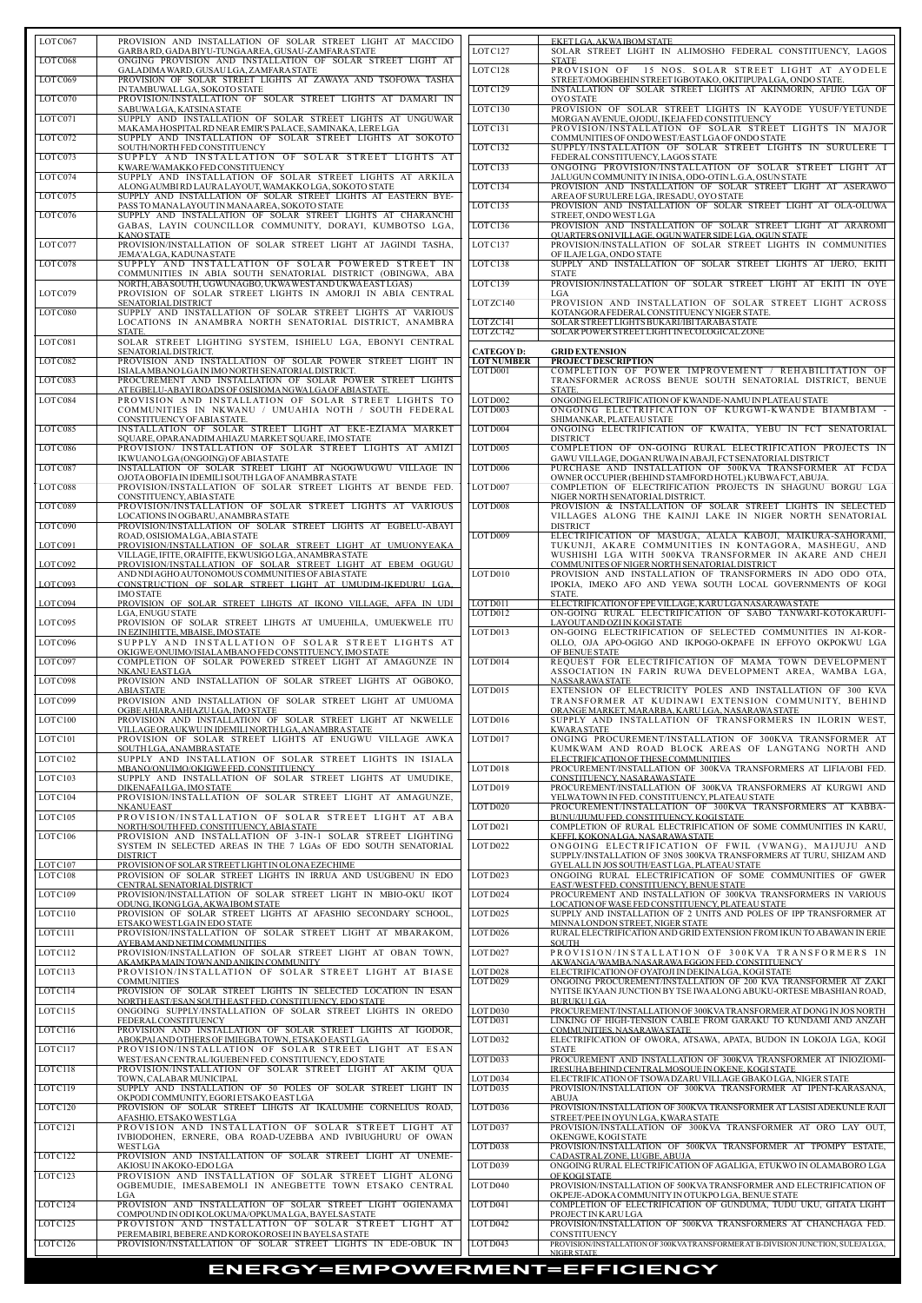| LOTC067            | PROVISION AND INSTALLATION OF SOLAR STREET LIGHT AT MACCIDO<br>GARBARD, GADA BIYU-TUNGAAREA, GUSAU-ZAMFARA STATE             | LOTC127                               | EKETLGA, AKWA IBOM STATE<br>SOLAR STREET LIGHT IN ALIMOSHO FEDERAL CONSTITUENCY, LAGOS                                       |
|--------------------|------------------------------------------------------------------------------------------------------------------------------|---------------------------------------|------------------------------------------------------------------------------------------------------------------------------|
| LOTC068            | ONGING PROVISION AND INSTALLATION OF SOLAR STREET LIGHT AT                                                                   |                                       | <b>STATE</b>                                                                                                                 |
| LOTC069            | GALADIMA WARD, GUSAU LGA, ZAMFARA STATE<br>PROVISION OF SOLAR STREET LIGHTS AT ZAWAYA AND TSOFOWA TASHA                      | LOTC128                               | PROVISION OF 15 NOS. SOLAR STREET LIGHT AT AYODELE<br>STREET/OMOGBEHIN STREETIGBOTAKO, OKITIPUPALGA, ONDO STATE.             |
| LOTC070            | IN TAMBUWAL LGA, SOKOTO STATE<br>PROVISION/INSTALLATION OF SOLAR STREET LIGHTS AT DAMARI IN                                  | LOTC129                               | INSTALLATION OF SOLAR STREET LIGHTS AT AKINMORIN, AFIJIO LGA OF<br><b>OYO STATE</b>                                          |
|                    | SABUWALGA, KATSINA STATE                                                                                                     | LOTC130                               | PROVISION OF SOLAR STREET LIGHTS IN KAYODE YUSUF/YETUNDE                                                                     |
| LOTC071            | SUPPLY AND INSTALLATION OF SOLAR STREET LIGHTS AT UNGUWAR<br>MAKAMA HOSPITAL RD NEAR EMIR'S PALACE, SAMINAKA, LERE LGA       | LOTC131                               | MORGAN AVENUE, OJODU, IKEJA FED CONSTITUENCY<br>PROVISION/INSTALLATION OF SOLAR STREET LIGHTS IN MAJOR                       |
| LOT C072           | SUPPLY AND INSTALLATION OF SOLAR STREET LIGHTS AT SOKOTO<br>SOUTH/NORTH FED CONSTITUENCY                                     | LOTC132                               | COMMUNITIES OF ONDO WEST/EAST LGA OF ONDO STATE<br>SUPPLY/INSTALLATION OF SOLAR STREET LIGHTS IN SURULERE I                  |
| LOTC073            | SUPPLY AND INSTALLATION OF SOLAR STREET LIGHTS AT                                                                            |                                       | FEDERAL CONSTITUENCY, LAGOS STATE                                                                                            |
| LOTC074            | KWARE/WAMAKKO FED CONSTITUENCY<br>SUPPLY AND INSTALLATION OF SOLAR STREET LIGHTS AT ARKILA                                   | LOTC133                               | ONGOING PROVISION/INSTALLATION OF SOLAR STREET LIGHT AT<br>JALUGUN COMMUNITY IN INISA, ODO-OTIN L.G.A. OSUN STATE            |
| LOTC075            | ALONG AUMBI RD LAURA LAYOUT, WAMAKKO LGA, SOKOTO STATE<br>SUPPLY AND INSTALLATION OF SOLAR STREET LIGHTS AT EASTERN BYE-     | LOTC134                               | PROVISION AND INSTALLATION OF SOLAR STREET LIGHT AT ASERAWO<br>AREA OF SURULERE LGA, IRESADU, OYO STATE                      |
| LOTC076            | PASS TO MANALAYOUT IN MANAAREA, SOKOTO STATE<br>SUPPLY AND INSTALLATION OF SOLAR STREET LIGHTS AT CHARANCHI                  | LOTC135                               | PROVISION AND INSTALLATION OF SOLAR STREET LIGHT AT OLA-OLUWA<br>STREET, ONDO WEST LGA                                       |
|                    | GABAS, LAYIN COUNCILLOR COMMUNITY, DORAYI, KUMBOTSO LGA,                                                                     | LOTC136                               | PROVISION AND INSTALLATION OF SOLAR STREET LIGHT AT ARAROMI                                                                  |
| LOTC077            | <b>KANO STATE</b><br>PROVISION/INSTALLATION OF SOLAR STREET LIGHT AT JAGINDI TASHA,                                          | LOTC137                               | <b>QUARTERS ONI VILLAGE, OGUN WATER SIDE LGA, OGUN STATE</b><br>PROVISION/INSTALLATION OF SOLAR STREET LIGHTS IN COMMUNITIES |
| LOTC078            | JEMA'ALGA, KADUNA STATE<br>SUPPLY AND INSTALLATION OF SOLAR POWERED STREET IN                                                | LOTC138                               | OF ILAJE LGA, ONDO STATE<br>SUPPLY AND INSTALLATION OF SOLAR STREET LIGHTS AT IJERO, EKITI                                   |
|                    | COMMUNITIES IN ABIA SOUTH SENATORIAL DISTRICT (OBINGWA, ABA                                                                  |                                       | <b>STATE</b>                                                                                                                 |
| LOTC079            | NORTH, ABA SOUTH, UGWUNAGBO, UKWA WEST AND UKWA EAST LGAS)<br>PROVISION OF SOLAR STREET LIGHTS IN AMORJI IN ABIA CENTRAL     | LOTC139                               | PROVISION/INSTALLATION OF SOLAR STREET LIGHT AT EKITI IN OYE<br>LGA                                                          |
| LOTC080            | <b>SENATORIAL DISTRICT</b><br>SUPPLY AND INSTALLATION OF SOLAR STREET LIGHTS AT VARIOUS                                      | LOTZC140                              | PROVISION AND INSTALLATION OF SOLAR STREET LIGHT ACROSS<br>KOTANGORA FEDERAL CONSTITUENCY NIGER STATE.                       |
|                    | LOCATIONS IN ANAMBRA NORTH SENATORIAL DISTRICT, ANAMBRA                                                                      | LOTZC141<br>LOTZC142                  | SOLAR STREET LIGHTS BUKARI/IBI TARABA STATE<br>SOLAR POWER STREET LIGHT IN ECOLOGICAL ZONE                                   |
| LOTC081            | STATE.<br>SOLAR STREET LIGHTING SYSTEM, ISHIELU LGA, EBONYI CENTRAL                                                          |                                       |                                                                                                                              |
| LOTC082            | SENATORIAL DISTRICT.<br>PROVISION AND INSTALLATION OF SOLAR POWER STREET LIGHT IN                                            | <b>CATEGOYD:</b><br><b>LOT NUMBER</b> | <b>GRID EXTENSION</b><br><b>PROJECT DESCRIPTION</b>                                                                          |
| LOTC083            | ISIALA MBANO LGA IN IMO NORTH SENATORIAL DISTRICT.<br>PROCUREMENT AND INSTALLATION OF SOLAR POWER STREET LIGHTS              | LOT D001                              | COMPLETION OF POWER IMPROVEMENT / REHABILITATION OF<br>TRANSFORMER ACROSS BENUE SOUTH SENATORIAL DISTRICT, BENUE             |
|                    | AT EGBELU-ABAYI ROADS OF OSISIOMANGWALGA OF ABIA STATE.                                                                      |                                       | STATE.                                                                                                                       |
| LOTC084            | PROVISION AND INSTALLATION OF SOLAR STREET LIGHTS TO<br>COMMUNITIES IN NKWANU / UMUAHIA NOTH / SOUTH FEDERAL                 | LOTD002<br>LOT D003                   | ONGOING ELECTRIFICATION OF KWANDE-NAMU IN PLATEAU STATE<br>ONGOING ELECTRIFICATION OF KURGWI-KWANDE BIAMBIAM -               |
| LOTC085            | CONSTITUENCY OF ABIA STATE.<br>INSTALLATION OF SOLAR STREET LIGHT AT EKE-EZIAMA MARKET                                       | LOT D004                              | SHIMANKAR, PLATEAU STATE<br>ONGOING ELECTRIFICATION OF KWAITA, YEBU IN FCT SENATORIAL                                        |
|                    | SQUARE, OPARANADIM AHIAZU MARKET SQUARE, IMO STATE                                                                           |                                       | <b>DISTRICT</b>                                                                                                              |
| LOTC086            | PROVISION/ INSTALLATION OF SOLAR STREET LIGHTS AT AMIZI<br>IKWUANO LGA (ONGOING) OF ABIA STATE                               | LOT D005                              | COMPLETION OF ON-GOING RURAL ELECTRIFICATION PROJECTS IN<br>GAWU VILLAGE, DOGAN RUWA IN ABAJI, FCT SENATORIAL DISTRICT       |
| LOTC087            | INSTALLATION OF SOLAR STREET LIGHT AT NGOGWUGWU VILLAGE IN<br>OJOTA OBOFIA IN IDEMILI SOUTH LGA OF ANAMBRA STATE             | LOT D006                              | PURCHASE AND INSTALLATION OF 500KVA TRANSFORMER AT FCDA<br>OWNER OCCUPIER (BEHIND STAMFORD HOTEL) KUBWAFCT, ABUJA.           |
| LOTC088            | PROVISION/INSTALLATION OF SOLAR STREET LIGHTS AT BENDE FED.                                                                  | LOT D007                              | COMPLETION OF ELECTRIFICATION PROJECTS IN SHAGUNU BORGU LGA                                                                  |
| LOTC089            | CONSTITUENCY, ABIA STATE<br>PROVISION/INSTALLATION OF SOLAR STREET LIGHTS AT VARIOUS                                         | LOTD008                               | NIGER NORTH SENATORIAL DISTRICT.<br>PROVISION & INSTALLATION OF SOLAR STREET LIGHTS IN SELECTED                              |
| LOTC090            | LOCATIONS IN OGBARU, ANAMBRA STATE<br>PROVISION/INSTALLATION OF SOLAR STREET LIGHTS AT EGBELU-ABAYI                          |                                       | VILLAGES ALONG THE KAINJI LAKE IN NIGER NORTH SENATORIAL<br><b>DISTRICT</b>                                                  |
| LOTC091            | ROAD, OSISIOMALGA, ABIA STATE<br>PROVISION/INSTALLATION OF SOLAR STREET LIGHT AT UMUONYEAKA                                  | LOTD009                               | ELECTRIFICATION OF MASUGA, ALALA KABOJI, MAIKURA-SAHORAMI,<br>TUKUNJI, AKARE COMMUNITIES IN KONTAGORA, MASHEGU, AND          |
|                    | VILLAGE, IFITE, ORAIFITE, EKWUSIGO LGA, ANAMBRA STATE                                                                        |                                       | WUSHISHI LGA WITH 500KVA TRANSFORMER IN AKARE AND CHEJI                                                                      |
| LOTC092            | PROVISION/INSTALLATION OF SOLAR STREET LIGHT AT EBEM OGUGU<br>AND NDI AGHO AUTONOMOUS COMMUNITIES OF ABIA STATE              | LOT D010                              | COMMUNITES OF NIGER NORTH SENATORIAL DISTRICT<br>PROVISION AND INSTALLATION OF TRANSFORMERS IN ADO ODO OTA,                  |
| LOTC093            | CONSTRUCTION OF SOLAR STREET LIGHT AT UMUDIM-IKEDURU LGA,<br><b>IMO STATE</b>                                                |                                       | IPOKIA. IMEKO AFO AND YEWA SOUTH LOCAL GOVERNMENTS OF KOGI<br>STATE.                                                         |
| LOTC094            | PROVISION OF SOLAR STREET LIHGTS AT IKONO VILLAGE, AFFA IN UDI                                                               | LOT D011                              | ELECTRIFICATION OF EPE VILLAGE, KARU LGA NASARAWA STATE                                                                      |
| LOTC095            | LGA, ENUGU STATE<br>PROVISION OF SOLAR STREET LIHGTS AT UMUEHILA, UMUEKWELE ITU                                              | LOT D012                              | ON-GOING RURAL ELECTRIFICATION OF SABO TANWARI-KOTOKARUFI-<br>LAYOUT AND OZI IN KOGI STATE                                   |
| LOTC096            | IN EZINIHITTE, MBAISE, IMO STATE<br>SUPPLY AND INSTALLATION OF SOLAR STREET LIGHTS AT                                        | LOT D013                              | ON-GOING ELECTRIFICATION OF SELECTED COMMUNITIES IN AI-KOR-<br>OLLO, OJA APO-OGIGO AND IKPOGO-OKPAFE IN EFFOYO OKPOKWU LGA   |
| LOTC097            | OKIGWE/ONUIMO/ISIALA MBANO FED CONSTITUENCY, IMO STATE<br>COMPLETION OF SOLAR POWERED STREET LIGHT AT AMAGUNZE IN            | LOTD014                               | OF BENUE STATE<br>REQUEST FOR ELECTRIFICATION OF MAMA TOWN DEVELOPMENT                                                       |
|                    | NKANU EAST LGA                                                                                                               |                                       | ASSOCIATION IN FARIN RUWA DEVELOPMENT AREA, WAMBA LGA,                                                                       |
| LOTC098            | PROVISION AND INSTALLATION OF SOLAR STREET LIGHTS AT OGBOKO,<br><b>ABIASTATE</b>                                             | LOTD015                               | <b>NASSARAWA STATE</b><br>EXTENSION OF ELECTRICITY POLES AND INSTALLATION OF 300 KVA                                         |
| LOTC099            | PROVISION AND INSTALLATION OF SOLAR STREET LIGHT AT UMUOMA<br>OGBE AHIARA AHIAZU LGA, IMO STATE                              |                                       | TRANSFORMER AT KUDINAWI EXTENSION COMMUNITY, BEHIND<br>ORANGE MARKET, MARARBA, KARULGA, NASARAWA STATE                       |
| LOTC100            | PROVISION AND INSTALLATION OF SOLAR STREET LIGHT AT NKWELLE                                                                  | LOT D016                              | SUPPLY AND INSTALLATION OF TRANSFORMERS IN ILORIN WEST,                                                                      |
| LOTC101            | VILLAGE ORAUK WU IN IDEMILI NORTH LGA, ANAMBRA STATE<br>PROVISION OF SOLAR STREET LIGHTS AT ENUGWU VILLAGE AWKA              | LOT D017                              | <b>KWARASTATE</b><br>ONGING PROCUREMENT/INSTALLATION OF 300KVA TRANSFORMER AT                                                |
| LOTC102            | SOUTH LGA, ANAMBRA STATE<br>SUPPLY AND INSTALLATION OF SOLAR STREET LIGHTS IN ISIALA                                         |                                       | KUMKWAM AND ROAD BLOCK AREAS OF LANGTANG NORTH AND<br>ELECTRIFICATION OF THESE COMMUNITIES                                   |
| LOTC103            | MBANO/ONUIMO/OKIGWE FED. CONSTITUENCY<br>SUPPLY AND INSTALLATION OF SOLAR STREET LIGHTS AT UMUDIKE,                          | LOT D018                              | PROCUREMENT/INSTALLATION OF 300KVA TRANSFORMERS AT LIFIA/OBI FED.<br>CONSTITUENCY NASARAWA STATE                             |
|                    | DIKENAFAILGA, IMO STATE                                                                                                      | LOT D019                              | PROCUREMENT/INSTALLATION OF 300KVA TRANSFORMERS AT KURGWI AND                                                                |
| LOTC104            | PROVISION/INSTALLATION OF SOLAR STREET LIGHT AT AMAGUNZE,<br><b>NKANUEAST</b>                                                | LOT D020                              | YELWATOWN IN FED. CONSTITUENCY, PLATEAU STATE<br>PROCUREMENT/INSTALLATION OF 300KVA TRANSFORMERS AT KABBA-                   |
| LOTC105            | PROVISION/INSTALLATION OF SOLAR STREET LIGHT AT ABA<br>NORTH/SOUTH FED. CONSTITUENCY, ABIA STATE                             | LOTD021                               | BUNU/IJUMU FED. CONSTITUENCY, KOGI STATE<br>COMPLETION OF RURAL ELECTRIFICATION OF SOME COMMUNITIES IN KARU,                 |
| LOTC106            | PROVISION AND INSTALLATION OF 3-IN-1 SOLAR STREET LIGHTING<br>SYSTEM IN SELECTED AREAS IN THE 7 LGAs OF EDO SOUTH SENATORIAL | LOTD022                               | KEFFI, KOKONALGA, NASARAWA STATE<br>ONGOING ELECTRIFICATION OF FWIL (VWANG), MAIJUJU AND                                     |
|                    | <b>DISTRICT</b>                                                                                                              |                                       | SUPPLY/INSTALLATION OF 3N0S 300KVA TRANSFORMERS AT TURU, SHIZAM AND                                                          |
| LOTC107<br>LOTC108 | PROVISION OF SOLAR STREET LIGHT IN OLONA EZECHIME<br>PROVISION OF SOLAR STREET LIGHTS IN IRRUA AND USUGBENU IN EDO           | LOTD023                               | GYELALL IN JOS SOUTH/EAST LGA, PLATEAU STATE<br>ONGOING RURAL ELECTRIFICATION OF SOME COMMUNITIES OF GWER                    |
| LOTC109            | CENTRAL SENATORIAL DISTRICT<br>PROVISION/INSTALLATION OF SOLAR STREET LIGHT IN MBIO-OKU IKOT                                 | LOT D024                              | EAST/WEST FED. CONSTITUENCY, BENUE STATE<br>PROCUREMENT AND INSTALLATION OF 300KVA TRANSFORMERS IN VARIOUS                   |
| LOTC110            | ODUNG, IKONG LGA, AKWA IBOM STATE<br>PROVISION OF SOLAR STREET LIGHTS AT AFASHIO SECONDARY SCHOOL,                           | LOT D025                              | LOCATION OF WASE FED CONSTITUENCY, PLATEAU STATE<br>SUPPLY AND INSTALLATION OF 2 UNITS AND POLES OF IPP TRANSFORMER AT       |
|                    | ETSAKO WEST LGA IN EDO STATE                                                                                                 |                                       | MINNALONDON STREET, NIGER STATE                                                                                              |
| LOTC111            | PROVISION/INSTALLATION OF SOLAR STREET LIGHT AT MBARAKOM,<br>AYEBAM AND NETIM COMMUNITIES                                    | LOT D026                              | RURAL ELECTRIFICATION AND GRID EXTENSION FROM IKUN TO ABAWAN IN ERIE<br><b>SOUTH</b>                                         |
| LOTC112            | PROVISION/INSTALLATION OF SOLAR STREET LIGHT AT OBAN TOWN,<br>AKAMKPA MAIN TOWN AND ANIKIN COMMUNITY                         | LOT D027                              | PROVISION/INSTALLATION OF 300KVA TRANSFORMERS IN<br>AKWANGA/WAMBA/NASARAWA EGGON FED. CONSTITUENCY                           |
| LOTC113            | PROVISION/INSTALLATION OF SOLAR STREET LIGHT AT BIASE<br><b>COMMUNITIES</b>                                                  | LOT D028<br>LOT D029                  | ELECTRIFICATION OF OYATOJI IN DEKINALGA, KOGI STATE<br>ONGOING PROCUREMENT/INSTALLATION OF 200 KVA TRANSFORMER AT ZAKI       |
| LOTC114            | PROVISION OF SOLAR STREET LIGHTS IN SELECTED LOCATION IN ESAN                                                                |                                       | NYITSE IKYAAN JUNCTION BY TSE IWA ALONG ABUKU-ORTESE MBASHIAN ROAD,                                                          |
| LOTC115            | NORTH EAST/ESAN SOUTH EAST FED. CONSTITUENCY, EDO STATE<br>ONGOING SUPPLY/INSTALLATION OF SOLAR STREET LIGHTS IN OREDO       | LOT D030                              | <b>BURUKULGA</b><br>PROCUREMENT/INSTALLATION OF 300KVATRANSFORMER AT DONG IN JOS NORTH                                       |
| LOTC116            | FEDERAL CONSTITUENCY<br>PROVISION AND INSTALLATION OF SOLAR STREET LIGHTS AT IGODOR,                                         | LOTD031                               | LINKING OF HIGH-TENSION CABLE FROM GARAKU TO KUNDAMI AND ANZAH<br>COMMUNITIES. NASARAWA STATE                                |
| LOTC117            | ABOKPAIAND OTHERS OF IMIEGBATOWN, ETSAKO EASTLGA                                                                             | LOTD032                               | ELECTRIFICATION OF OWORA, ATSAWA, APATA, BUDON IN LOKOJA LGA, KOGI                                                           |
|                    | PROVISION/INSTALLATION OF SOLAR STREET LIGHT AT ESAN<br>WEST/ESAN CENTRAL/IGUEBEN FED. CONSTITUENCY, EDO STATE               | LOTD033                               | <b>STATE</b><br>PROCUREMENT AND INSTALLATION OF 300KVA TRANSFORMER AT INIOZIOMI-                                             |
| LOTC118            | PROVISION/INSTALLATION OF SOLAR STREET LIGHT AT AKIM QUA<br>TOWN, CALABAR MUNICIPAL                                          | LOTD034                               | IRESUHA BEHIND CENTRAL MOSQUE IN OKENE, KOGI STATE<br>ELECTRIFICATION OF TSOWA DZARU VILLAGE GBAKO LGA, NIGER STATE          |
| LOTC119            | SUPPLY AND INSTALLATION OF 50 POLES OF SOLAR STREET LIGHT IN<br>OKPODI COMMUNITY, EGORI ETSAKO EAST LGA                      | LOT D035                              | PROVISION/INSTALLATION OF 300KVA TRANSFORMER AT IPENT-KARASANA,<br>ABUJA                                                     |
| LOTC120            | PROVISION OF SOLAR STREET LIHGTS AT IKALUMHE CORNELIUS ROAD,                                                                 | LOTD036                               | PROVISION/INSTALLATION OF 300KVA TRANSFORMER AT LASISI ADEKUNLE RAJI                                                         |
| LOTC121            | AFASHIO, ETSAKO WESTLGA<br>PROVISION AND INSTALLATION OF SOLAR STREET LIGHT AT                                               | LOTD037                               | STREET/PEE IN OYUN LGA, KWARA STATE<br>PROVISION/INSTALLATION OF 300KVA TRANSFORMER AT ORO LAY OUT,                          |
|                    | IVBIODOHEN, ERNERE, OBA ROAD-UZEBBA AND IVBIUGHURU OF OWAN<br>WESTLGA                                                        | LOTD038                               | OKENGWE, KOGI STATE<br>PROVISION/INSTALLATION OF 500KVA TRANSFORMER AT TPOMPY ESTATE,                                        |
| LOTC122            | PROVISION AND INSTALLATION OF SOLAR STREET LIGHT AT UNEME-                                                                   | LOT D039                              | CADASTRALZONE, LUGBE, ABUJA<br>ONGOING RURAL ELECTRIFICATION OF AGALIGA, ETUKWO IN OLAMABORO LGA                             |
| LOTC123            | AKIOSU INAKOKO-EDO LGA<br>PROVISION AND INSTALLATION OF SOLAR STREET LIGHT ALONG                                             |                                       | OF KOGI STATE                                                                                                                |
|                    | OGBEMUDIE, IMESABEMOLI IN ANEGBETTE TOWN ETSAKO CENTRAL<br>LGA                                                               | LOT D040                              | PROVISION/INSTALLATION OF 500KVA TRANSFORMER AND ELECTRIFICATION OF<br>OKPEJE-ADOKA COMMUNITY IN OTUKPO LGA. BENUE STATE     |
| LOTC124            | PROVISION AND INSTALLATION OF SOLAR STREET LIGHT OGIENAMA<br>COMPOUND IN ODI KOLOKUMA/OPKUMALGA, BAYELSA STATE               | LOT D041                              | COMPLETION OF ELECTRIFICATION OF GUNDUMA, TUDU UKU, GITATA LIGHT<br>PROJECT IN KARU LGA                                      |
| LOTC125            | PROVISION AND INSTALLATION OF SOLAR STREET LIGHT AT                                                                          | LOTD042                               | PROVISION/INSTALLATION OF 500KVA TRANSFORMERS AT CHANCHAGA FED.                                                              |
| LOTC126            | PEREMABIRI, BEBERE AND KOROKOROSEI IN BAYELSA STATE<br>PROVISION/INSTALLATION OF SOLAR STREET LIGHTS IN EDE-OBUK IN          | LOTD043                               | <b>CONSTITUENCY</b><br>PROVISION/INSTALLATION OF 300KVA TRANSFORMER AT B-DIVISION JUNCTION, SULEJA LGA,                      |
|                    |                                                                                                                              |                                       | <b>NIGER STATE</b>                                                                                                           |

| LOTC067  | PROVISION AND INSTALLATION OF SOLAR STREET LIGHT AT MACCIDO                                                                  |                              | EKETLGA, AKWA IBOM STATE                                                                                                               |
|----------|------------------------------------------------------------------------------------------------------------------------------|------------------------------|----------------------------------------------------------------------------------------------------------------------------------------|
| LOTC068  | GARBARD, GADA BIYU-TUNGA AREA, GUSAU-ZAMFARA STATE<br>ONGING PROVISION AND INSTALLATION OF SOLAR STREET LIGHT AT             | LOTC127                      | SOLAR STREET LIGHT IN ALIMOSHO FEDERAL CONSTITUENCY, LAGOS<br><b>STATE</b>                                                             |
| LOTC069  | GALADIMA WARD, GUSAU LGA, ZAMFARA STATE<br>PROVISION OF SOLAR STREET LIGHTS AT ZAWAYA AND TSOFOWA TASHA                      | LOTC128                      | PROVISION OF 15 NOS. SOLAR STREET LIGHT AT AYODELE<br>STREET/OMOGBEHIN STREETIGBOTAKO, OKITIPUPALGA, ONDO STATE.                       |
|          | IN TAMBUWAL LGA, SOKOTO STATE                                                                                                | LOTC129                      | INSTALLATION OF SOLAR STREET LIGHTS AT AKINMORIN, AFIJIO LGA OF                                                                        |
| LOTC070  | PROVISION/INSTALLATION OF SOLAR STREET LIGHTS AT DAMARI IN<br>SABUWALGA, KATSINA STATE                                       | LOTC130                      | <b>OYO STATE</b><br>PROVISION OF SOLAR STREET LIGHTS IN KAYODE YUSUF/YETUNDE                                                           |
| LOTC071  | SUPPLY AND INSTALLATION OF SOLAR STREET LIGHTS AT UNGUWAR<br>MAKAMA HOSPITAL RD NEAR EMIR'S PALACE, SAMINAKA, LERE LGA       | LOTC131                      | MORGAN AVENUE, OJODU, IKEJA FED CONSTITUENCY<br>PROVISION/INSTALLATION OF SOLAR STREET LIGHTS IN MAJOR                                 |
| LOTC072  | SUPPLY AND INSTALLATION OF SOLAR STREET LIGHTS AT SOKOTO<br>SOUTH/NORTH FED CONSTITUENCY                                     | LOTC132                      | COMMUNITIES OF ONDO WEST/EAST LGA OF ONDO STATE<br>SUPPLY/INSTALLATION OF SOLAR STREET LIGHTS IN SURULERE I                            |
| LOTC073  | SUPPLY AND INSTALLATION OF SOLAR STREET LIGHTS AT                                                                            |                              | FEDERAL CONSTITUENCY, LAGOS STATE                                                                                                      |
| LOT C074 | KWARE/WAMAKKOFED CONSTITUENCY<br>SUPPLY AND INSTALLATION OF SOLAR STREET LIGHTS AT ARKILA                                    | LOTC133                      | ONGOING PROVISION/INSTALLATION OF SOLAR STREET LIGHT AT<br>JALUGUN COMMUNITY IN INISA, ODO-OTIN L.G.A, OSUN STATE                      |
| LOTC075  | ALONG AUMBI RD LAURA LAYOUT, WAMAKKO LGA, SOKOTO STATE<br>SUPPLY AND INSTALLATION OF SOLAR STREET LIGHTS AT EASTERN BYE-     | LOTC134                      | PROVISION AND INSTALLATION OF SOLAR STREET LIGHT AT ASERAWO<br>AREA OF SURULERE LGA, IRESADU, OYO STATE                                |
| LOTC076  | PASS TO MANALAYOUT IN MANAAREA, SOKOTO STATE<br>SUPPLY AND INSTALLATION OF SOLAR STREET LIGHTS AT CHARANCHI                  | LOTC135                      | PROVISION AND INSTALLATION OF SOLAR STREET LIGHT AT OLA-OLUWA<br>STREET, ONDO WEST LGA                                                 |
|          | GABAS, LAYIN COUNCILLOR COMMUNITY, DORAYI, KUMBOTSO LGA,                                                                     | LOTC136                      | PROVISION AND INSTALLATION OF SOLAR STREET LIGHT AT ARAROMI                                                                            |
| LOTC077  | <b>KANO STATE</b><br>PROVISION/INSTALLATION OF SOLAR STREET LIGHT AT JAGINDI TASHA,                                          | LOTC137                      | <b>QUARTERS ONI VILLAGE, OGUN WATER SIDE LGA, OGUN STATE</b><br>PROVISION/INSTALLATION OF SOLAR STREET LIGHTS IN COMMUNITIES           |
| LOTC078  | JEMA'ALGA, KADUNA STATE<br>SUPPLY AND INSTALLATION OF SOLAR POWERED STREET IN                                                | LOTC138                      | OF ILAJE LGA, ONDO STATE<br>SUPPLY AND INSTALLATION OF SOLAR STREET LIGHTS AT IJERO, EKITI                                             |
|          | COMMUNITIES IN ABIA SOUTH SENATORIAL DISTRICT (OBINGWA, ABA<br>NORTH, ABA SOUTH, UGWUNAGBO, UKWA WESTAND UKWA EASTLGAS)      | LOTC139                      | <b>STATE</b><br>PROVISION/INSTALLATION OF SOLAR STREET LIGHT AT EKITI IN OYE                                                           |
| LOTC079  | PROVISION OF SOLAR STREET LIGHTS IN AMORJI IN ABIA CENTRAL<br><b>SENATORIAL DISTRICT</b>                                     | LOTZC140                     | LGA<br>PROVISION AND INSTALLATION OF SOLAR STREET LIGHT ACROSS                                                                         |
| LOTC080  | SUPPLY AND INSTALLATION OF SOLAR STREET LIGHTS AT VARIOUS<br>LOCATIONS IN ANAMBRA NORTH SENATORIAL DISTRICT, ANAMBRA         | LOTZC141                     | KOTANGORA FEDERAL CONSTITUENCY NIGER STATE.<br>SOLAR STREET LIGHTS BUKARI/IBI TARABA STATE                                             |
|          | STATE.                                                                                                                       | LOTZC142                     | SOLAR POWER STREET LIGHT IN ECOLOGICAL ZONE                                                                                            |
| LOTC081  | SOLAR STREET LIGHTING SYSTEM, ISHIELU LGA, EBONYI CENTRAL<br>SENATORIAL DISTRICT.                                            | <b>CATEGOYD:</b>             | <b>GRID EXTENSION</b>                                                                                                                  |
| LOTC082  | PROVISION AND INSTALLATION OF SOLAR POWER STREET LIGHT IN<br>ISIALA MBANO LGA IN IMO NORTH SENATORIAL DISTRICT.              | <b>LOTNUMBER</b><br>LOT D001 | <b>PROJECT DESCRIPTION</b><br>COMPLETION OF POWER IMPROVEMENT / REHABILITATION OF                                                      |
| LOTC083  | PROCUREMENT AND INSTALLATION OF SOLAR POWER STREET LIGHTS<br>AT EGBELU-ABAYI ROADS OF OSISIOMANGWALGA OF ABIA STATE.         |                              | TRANSFORMER ACROSS BENUE SOUTH SENATORIAL DISTRICT, BENUE<br>STATE.                                                                    |
| LOTC084  | PROVISION AND INSTALLATION OF SOLAR STREET LIGHTS TO                                                                         | LOT D002                     | ONGOING ELECTRIFICATION OF KWANDE-NAMU IN PLATEAU STATE                                                                                |
|          | COMMUNITIES IN NKWANU / UMUAHIA NOTH / SOUTH FEDERAL<br>CONSTITUENCY OF ABIA STATE.                                          | LOT D003                     | ONGOING ELECTRIFICATION OF KURGWI-KWANDE BIAMBIAM -<br>SHIMANKAR, PLATEAU STATE                                                        |
| LOTC085  | INSTALLATION OF SOLAR STREET LIGHT AT EKE-EZIAMA MARKET<br>SQUARE, OPARANADIM AHIAZU MARKET SQUARE, IMO STATE                | LOT D004                     | ONGOING ELECTRIFICATION OF KWAITA, YEBU IN FCT SENATORIAL<br><b>DISTRICT</b>                                                           |
| LOTC086  | PROVISION/ INSTALLATION OF SOLAR STREET LIGHTS AT AMIZI<br>IKWUANO LGA (ONGOING) OF ABIA STATE                               | LOT D005                     | COMPLETION OF ON-GOING RURAL ELECTRIFICATION PROJECTS IN<br>GAWU VILLAGE, DOGAN RUWA IN ABAJI, FCT SENATORIAL DISTRICT                 |
| LOTC087  | INSTALLATION OF SOLAR STREET LIGHT AT NGOGWUGWU VILLAGE IN<br>OJOTA OBOFIA IN IDEMILI SOUTH LGA OF ANAMBRA STATE             | LOT D006                     | PURCHASE AND INSTALLATION OF 500KVA TRANSFORMER AT FCDA<br>OWNER OCCUPIER (BEHIND STAMFORD HOTEL) KUBWA FCT, ABUJA.                    |
| LOTC088  | PROVISION/INSTALLATION OF SOLAR STREET LIGHTS AT BENDE FED.                                                                  | LOT D007                     | COMPLETION OF ELECTRIFICATION PROJECTS IN SHAGUNU BORGU LGA                                                                            |
| LOTC089  | CONSTITUENCY, ABIA STATE<br>PROVISION/INSTALLATION OF SOLAR STREET LIGHTS AT VARIOUS                                         | LOT D008                     | NIGER NORTH SENATORIAL DISTRICT.<br>PROVISION & INSTALLATION OF SOLAR STREET LIGHTS IN SELECTED                                        |
| LOTC090  | LOCATIONS IN OGBARU, ANAMBRA STATE<br>PROVISION/INSTALLATION OF SOLAR STREET LIGHTS AT EGBELU-ABAYI                          |                              | VILLAGES ALONG THE KAINJI LAKE IN NIGER NORTH SENATORIAL<br><b>DISTRICT</b>                                                            |
| LOTC091  | ROAD, OSISIOMALGA, ABIA STATE<br>PROVISION/INSTALLATION OF SOLAR STREET LIGHT AT UMUONYEAKA                                  | LOTD009                      | ELECTRIFICATION OF MASUGA, ALALA KABOJI, MAIKURA-SAHORAMI,<br>TUKUNJI, AKARE COMMUNITIES IN KONTAGORA, MASHEGU, AND                    |
| LOTC092  | VILLAGE, IFITE, ORAIFITE, EKWUSIGO LGA, ANAMBRA STATE<br>PROVISION/INSTALLATION OF SOLAR STREET LIGHT AT EBEM OGUGU          |                              | WUSHISHI LGA WITH 500KVA TRANSFORMER IN AKARE AND CHEJI<br>COMMUNITES OF NIGER NORTH SENATORIAL DISTRICT                               |
| LOTC093  | AND NDI AGHO AUTONOMOUS COMMUNITIES OF ABIA STATE<br>CONSTRUCTION OF SOLAR STREET LIGHT AT UMUDIM-IKEDURU LGA,               | LOT D010                     | PROVISION AND INSTALLATION OF TRANSFORMERS IN ADO ODO OTA,<br>IPOKIA, IMEKO AFO AND YEWA SOUTH LOCAL GOVERNMENTS OF KOGI               |
|          | <b>IMO STATE</b>                                                                                                             |                              | STATE.                                                                                                                                 |
| LOTC094  | PROVISION OF SOLAR STREET LIHGTS AT IKONO VILLAGE, AFFA IN UDI<br>LGA. ENUGU STATE                                           | LOT D011<br>LOT D012         | ELECTRIFICATION OF EPE VILLAGE, KARU LGANASARAWA STATE<br>ON-GOING RURAL ELECTRIFICATION OF SABO TANWARI-KOTOKARUFI-                   |
| LOTC095  | PROVISION OF SOLAR STREET LIHGTS AT UMUEHILA, UMUEKWELE ITU<br>IN EZINIHITTE, MBAISE, IMO STATE                              | LOT D013                     | LAYOUT AND OZI IN KOGI STATE<br>ON-GOING ELECTRIFICATION OF SELECTED COMMUNITIES IN AI-KOR-                                            |
| LOTC096  | SUPPLY AND INSTALLATION OF SOLAR STREET LIGHTS AT<br>OKIGWE/ONUIMO/ISIALA MBANO FED CONSTITUENCY, IMO STATE                  |                              | OLLO, OJA APO-OGIGO AND IKPOGO-OKPAFE IN EFFOYO OKPOKWU LGA<br>OF BENUE STATE                                                          |
| LOTC097  | COMPLETION OF SOLAR POWERED STREET LIGHT AT AMAGUNZE IN<br>NKANU EAST LGA                                                    | LOT D014                     | REQUEST FOR ELECTRIFICATION OF MAMA TOWN DEVELOPMENT<br>ASSOCIATION IN FARIN RUWA DEVELOPMENT AREA, WAMBA LGA,                         |
| LOTC098  | PROVISION AND INSTALLATION OF SOLAR STREET LIGHTS AT OGBOKO,                                                                 |                              | <b>NASSARAWA STATE</b>                                                                                                                 |
| LOTC099  | <b>ABIASTATE</b><br>PROVISION AND INSTALLATION OF SOLAR STREET LIGHT AT UMUOMA                                               | LOTD015                      | EXTENSION OF ELECTRICITY POLES AND INSTALLATION OF 300 KVA<br>TRANSFORMER AT KUDINAWI EXTENSION COMMUNITY, BEHIND                      |
| LOTC100  | OGBE AHIARA AHIAZU LGA, IMO STATE<br>PROVISION AND INSTALLATION OF SOLAR STREET LIGHT AT NKWELLE                             | LOT D016                     | ORANGE MARKET, MARARBA, KARULGA, NASARAWA STATE<br>SUPPLY AND INSTALLATION OF TRANSFORMERS IN ILORIN WEST,                             |
| LOTC101  | VILLAGE ORAUK WU IN IDEMILI NORTH LGA, ANAMBRA STATE<br>PROVISION OF SOLAR STREET LIGHTS AT ENUGWU VILLAGE AWKA              | LOT D017                     | <b>KWARA STATE</b><br>ONGING PROCUREMENT/INSTALLATION OF 300KVA TRANSFORMER AT                                                         |
| LOTC102  | SOUTH LGA, ANAMBRA STATE<br>SUPPLY AND INSTALLATION OF SOLAR STREET LIGHTS IN ISIALA                                         |                              | KUMKWAM AND ROAD BLOCK AREAS OF LANGTANG NORTH AND<br>ELECTRIFICATION OF THESE COMMUNITIES                                             |
| LOTC103  | MBANO/ONUIMO/OKIGWE FED. CONSTITUENCY<br>SUPPLY AND INSTALLATION OF SOLAR STREET LIGHTS AT UMUDIKE,                          | LOT D018                     | PROCUREMENT/INSTALLATION OF 300KVA TRANSFORMERS AT LIFIA/OBI FED.<br>CONSTITUENCY, NASARAWA STATE                                      |
|          | DIKENAFALLGA, IMO STATE                                                                                                      | LOT D019                     | PROCUREMENT/INSTALLATION OF 300KVA TRANSFORMERS AT KURGWI AND                                                                          |
| LOTC104  | PROVISION/INSTALLATION OF SOLAR STREET LIGHT AT AMAGUNZE,<br><b>NKANUEAST</b>                                                | LOT D020                     | YELWATOWN IN FED. CONSTITUENCY, PLATEAU STATE<br>PROCUREMENT/INSTALLATION OF 300KVA TRANSFORMERS AT KABBA-                             |
| LOTC105  | PROVISION/INSTALLATION OF SOLAR STREET LIGHT AT ABA<br>NORTH/SOUTH FED. CONSTITUENCY, ABIA STATE                             | LOTD021                      | BUNU/IJUMU FED. CONSTITUENCY, KOGI STATE<br>COMPLETION OF RURAL ELECTRIFICATION OF SOME COMMUNITIES IN KARU,                           |
| LOTC106  | PROVISION AND INSTALLATION OF 3-IN-1 SOLAR STREET LIGHTING<br>SYSTEM IN SELECTED AREAS IN THE 7 LGAs OF EDO SOUTH SENATORIAL | LOT D022                     | <u>KEFFI, KOKONALGA, NASARAWA STATE_</u><br>ONGOING ELECTRIFICATION OF FWIL (VWANG), MAIJUJU AND                                       |
| LOTC107  | <b>DISTRICT</b><br>PROVISION OF SOLAR STREET LIGHT IN OLONA EZECHIME                                                         |                              | SUPPLY/INSTALLATION OF 3N0S 300KVA TRANSFORMERS AT TURU, SHIZAM AND<br>GYELALL IN JOS SOUTH/EAST LGA, PLATEAU STATE                    |
| LOTC108  | PROVISION OF SOLAR STREET LIGHTS IN IRRUA AND USUGBENU IN EDO                                                                | LOTD023                      | ONGOING RURAL ELECTRIFICATION OF SOME COMMUNITIES OF GWER<br>EAST/WEST FED. CONSTITUENCY, BENUE STATE                                  |
| LOTC109  | CENTRAL SENATORIAL DISTRICT<br>PROVISION/INSTALLATION OF SOLAR STREET LIGHT IN MBIO-OKU IKOT                                 | LOT D024                     | PROCUREMENT AND INSTALLATION OF 300KVA TRANSFORMERS IN VARIOUS                                                                         |
| LOTC110  | ODUNG, IKONG LGA, AKWA IBOM STATE<br>PROVISION OF SOLAR STREET LIGHTS AT AFASHIO SECONDARY SCHOOL,                           | LOT D025                     | LOCATION OF WASE FED CONSTITUENCY, PLATEAU STATE<br>SUPPLY AND INSTALLATION OF 2 UNITS AND POLES OF IPP TRANSFORMER AT                 |
| LOTC111  | ETSAKO WEST LGA IN EDO STATE<br>PROVISION/INSTALLATION OF SOLAR STREET LIGHT AT MBARAKOM,                                    | LOT D026                     | MINNALONDON STREET. NIGER STATE<br>RURAL ELECTRIFICATION AND GRID EXTENSION FROM IKUN TO ABAWAN IN ERIE                                |
| LOTC112  | AYEBAM AND NETIM COMMUNITIES<br>PROVISION/INSTALLATION OF SOLAR STREET LIGHT AT OBAN TOWN,                                   | LOT D027                     | <b>SOUTH</b><br>PROVISION/INSTALLATION OF 300KVA TRANSFORMERS IN                                                                       |
| LOTC113  | AKAMKPA MAIN TOWN AND ANIKIN COMMUNITY<br>PROVISION/INSTALLATION OF SOLAR STREET LIGHT AT BIASE                              | LOTD028                      | AKWANGA/WAMBA/NASARAWA EGGON FED. CONSTITUENCY<br>ELECTRIFICATION OF OYATOJI IN DEKINALGA, KOGI STATE                                  |
| LOTC114  | <b>COMMUNITIES</b><br>PROVISION OF SOLAR STREET LIGHTS IN SELECTED LOCATION IN ESAN                                          | LOT D029                     | ONGOING PROCUREMENT/INSTALLATION OF 200 KVA TRANSFORMER AT ZAKI<br>NYITSE IKYAAN JUNCTION BY TSE IWA ALONG ABUKU-ORTESE MBASHIAN ROAD, |
|          | NORTH EAST/ESAN SOUTH EAST FED. CONSTITUENCY, EDO STATE<br>ONGOING SUPPLY/INSTALLATION OF SOLAR STREET LIGHTS IN OREDO       | LOTD030                      | <b>BURUKULGA</b>                                                                                                                       |
| LOTC115  | FEDERAL CONSTITUENCY                                                                                                         | LOTD031                      | PROCUREMENT/INSTALLATION OF 300KVA TRANSFORMER AT DONG IN JOS NORTH<br>LINKING OF HIGH-TENSION CABLE FROM GARAKU TO KUNDAMI AND ANZAH  |
| LOTC116  | PROVISION AND INSTALLATION OF SOLAR STREET LIGHTS AT IGODOR,<br>ABOKPAI AND OTHERS OF IMIEGBATOWN, ETSAKO EASTLGA            | LOTD032                      | COMMUNITIES, NASARAWA STATE<br>ELECTRIFICATION OF OWORA, ATSAWA, APATA, BUDON IN LOKOJA LGA, KOGI                                      |
| LOTC117  | PROVISION/INSTALLATION OF SOLAR STREET LIGHT AT ESAN<br>WEST/ESAN CENTRAL/IGUEBEN FED. CONSTITUENCY, EDO STATE               | LOTD033                      | <b>STATE</b><br>PROCUREMENT AND INSTALLATION OF 300KVA TRANSFORMER AT INIOZIOMI-                                                       |
| LOTC118  | PROVISION/INSTALLATION OF SOLAR STREET LIGHT AT AKIM QUA<br>TOWN, CALABAR MUNICIPAL                                          | LOTD034                      | <u>IRESUHA BEHIND CENTRAL MOSQUE IN OKENE, KOGI STATE </u><br>ELECTRIFICATION OF TSOWA DZARU VILLAGE GBAKO LGA, NIGER STATE            |
| LOTC119  | SUPPLY AND INSTALLATION OF 50 POLES OF SOLAR STREET LIGHT IN<br>OKPODI COMMUNITY, EGORI ETSAKO EAST LGA                      | LOT D035                     | PROVISION/INSTALLATION OF 300KVA TRANSFORMER AT IPENT-KARASANA,<br><b>ABUJA</b>                                                        |
| LOTC120  | PROVISION OF SOLAR STREET LIHGTS AT IKALUMHE CORNELIUS ROAD,                                                                 | LOT D036                     | PROVISION/INSTALLATION OF 300KVA TRANSFORMER AT LASISI ADEKUNLE RAJI                                                                   |
| LOTC121  | AFASHIO, ETSAKO WESTLGA<br>PROVISION AND INSTALLATION OF SOLAR STREET LIGHT AT                                               | LOT D037                     | STREET/PEE IN OYUN LGA, KWARA STATE<br>PROVISION/INSTALLATION OF 300KVA TRANSFORMER AT ORO LAY OUT,                                    |
|          | IVBIODOHEN, ERNERE, OBA ROAD-UZEBBA AND IVBIUGHURU OF OWAN<br>WESTLGA                                                        | LOT D038                     | OKENGWE, KOGI STATE<br>PROVISION/INSTALLATION OF 500KVA TRANSFORMER AT TPOMPY ESTATE,                                                  |
| LOTC122  | PROVISION AND INSTALLATION OF SOLAR STREET LIGHT AT UNEME-<br>AKIOSU IN AKOKO-EDO LGA                                        | LOT D039                     | CADASTRALZONE, LUGBE, ABUJA<br>ONGOING RURAL ELECTRIFICATION OF AGALIGA, ETUKWO IN OLAMABORO LGA                                       |
| LOTC123  | PROVISION AND INSTALLATION OF SOLAR STREET LIGHT ALONG<br>OGBEMUDIE, IMESABEMOLI IN ANEGBETTE TOWN ETSAKO CENTRAL            | LOT D040                     | <b>OF KOGI STATE</b><br>PROVISION/INSTALLATION OF 500KVA TRANSFORMER AND ELECTRIFICATION OF                                            |
| LOTC124  | LGA<br>PROVISION AND INSTALLATION OF SOLAR STREET LIGHT OGIENAMA                                                             | LOTD041                      | OKPEJE-ADOKA COMMUNITY IN OTUKPO LGA, BENUE STATE<br>COMPLETION OF ELECTRIFICATION OF GUNDUMA, TUDU UKU, GITATA LIGHT                  |
|          | COMPOUND IN ODI KOLOKUMA/OPKUMALGA, BAYELSA STATE                                                                            |                              | PROJECT IN KARU LGA                                                                                                                    |
| LOTC125  | PROVISION AND INSTALLATION OF SOLAR STREET LIGHT AT<br>PEREMABIRI, BEBERE AND KOROKOROSEI IN BAYELSA STATE                   | LOTD042                      | PROVISION/INSTALLATION OF 500KVA TRANSFORMERS AT CHANCHAGA FED.<br><b>CONSTITUENCY</b>                                                 |
| LOTC126  | PROVISION/INSTALLATION OF SOLAR STREET LIGHTS IN EDE-OBUK IN                                                                 | LOTD043                      | PROVISION/INSTALLATION OF 300KVA TRANSFORMER AT B-DIVISION JUNCTION, SULEJA LGA,<br>NIGER STATE                                        |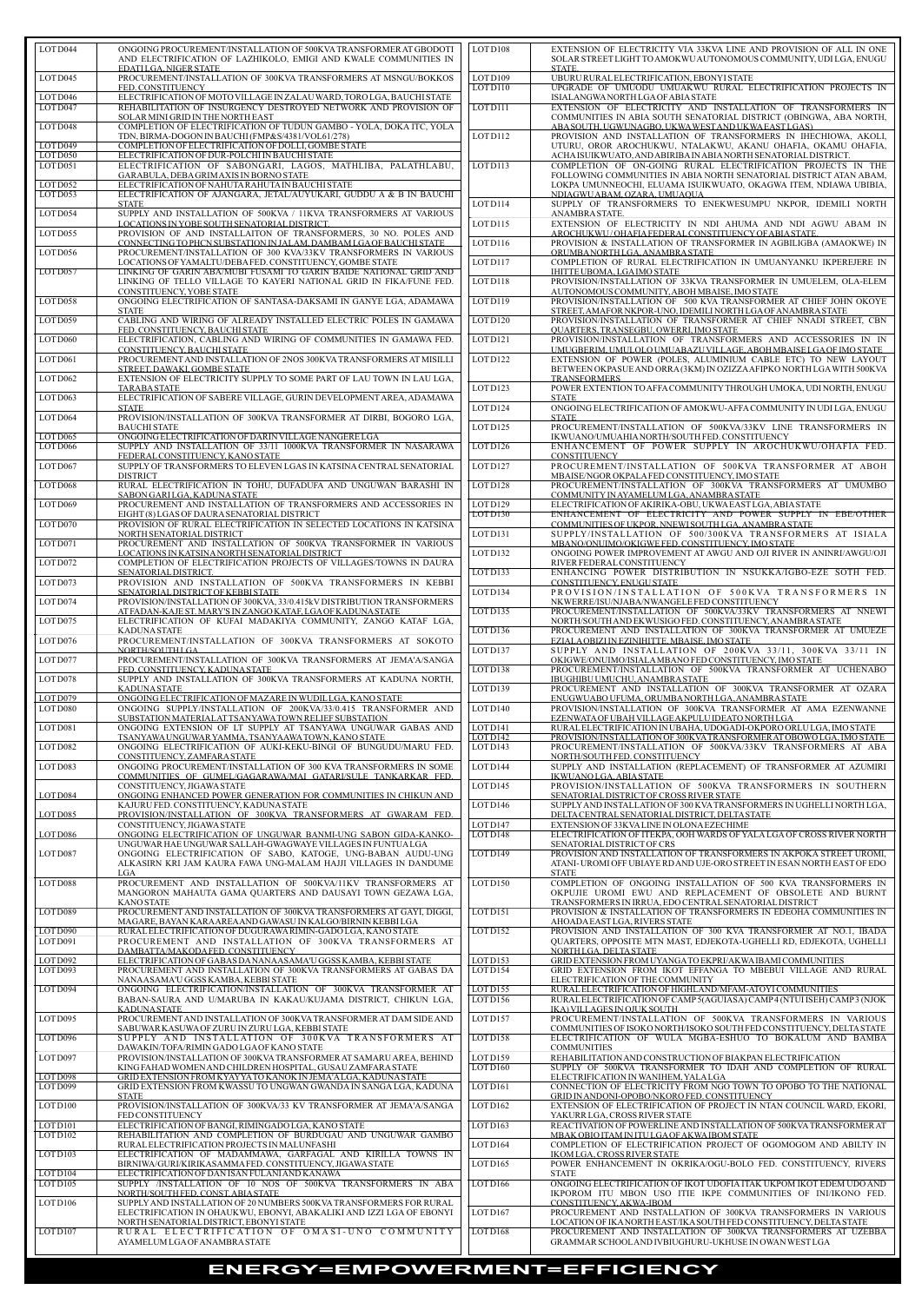| LOT D044             | ONGOING PROCUREMENT/INSTALLATION OF 500KVA TRANSFORMER AT GBODOTI<br>AND ELECTRIFICATION OF LAZHIKOLO, EMIGI AND KWALE COMMUNITIES IN    | LOT D <sub>108</sub> | EXTENSION OF ELECTRICITY VIA 33KVA LINE AND PROVISION OF ALL IN ONE<br>SOLAR STREET LIGHT TO AMOKWU AUTONOMOUS COMMUNITY, UDI LGA, ENUGU |
|----------------------|------------------------------------------------------------------------------------------------------------------------------------------|----------------------|------------------------------------------------------------------------------------------------------------------------------------------|
| LOT D045             | EDATILGA. NIGER STATE<br>PROCUREMENT/INSTALLATION OF 300KVA TRANSFORMERS AT MSNGU/BOKKOS                                                 | LOTD109              | STATE.<br>UBURU RURAL ELECTRIFICATION, EBONYI STATE                                                                                      |
|                      | FED. CONSTITUENCY                                                                                                                        | LOTD110              | UPGRADE OF UMUODU UMUAKWU RURAL ELECTRIFICATION PROJECTS IN                                                                              |
| LOTD046<br>LOTD047   | ELECTRIFICATION OF MOTO VILLAGE IN ZALAU WARD, TORO LGA, BAUCHI STATE<br>REHABILITATION OF INSURGENCY DESTROYED NETWORK AND PROVISION OF | LOT D111             | ISIALANGWA NORTH LGA OF ABIA STATE<br>EXTENSION OF ELECTRICITY AND INSTALLATION OF TRANSFORMERS IN                                       |
| LOTD048              | SOLAR MINI GRID IN THE NORTH EAST<br>COMPLETION OF ELECTRIFICATION OF TUDUN GAMBO - YOLA, DOKA ITC, YOLA                                 |                      | COMMUNITIES IN ABIA SOUTH SENATORIAL DISTRICT (OBINGWA, ABA NORTH,<br>ABA SOUTH, UGWUNAGBO, UKWA WESTAND UKWA EASTLGAS)                  |
| LOTD049              | TDN, BIRMA-DOGON IN BAUCHI (FMP&S/4381/VOL61/278)<br>COMPLETION OF ELECTRIFICATION OF DOLLI, GOMBE STATE                                 | LOT D <sub>112</sub> | PROVISION AND INSTALLATION OF TRANSFORMERS IN IHECHIOWA, AKOLI,<br>UTURU, OROR AROCHUKWU, NTALAKWU, AKANU OHAFIA, OKAMU OHAFIA,          |
| LOTD050              | ELECTRIFICATION OF DUR-POLCHI IN BAUCHI STATE                                                                                            |                      | ACHA ISUIKWUATO, AND ABIRIBA IN ABIA NORTH SENATORIAL DISTRICT.                                                                          |
| LOTD051              | ELECTRIFICATION OF SABONGARI, LAGOS, MATHLIBA, PALATHLABU,<br>GARABULA, DEBA GRIMAXIS IN BORNO STATE                                     | LOTD113              | COMPLETION OF ON-GOING RURAL ELECTRIFICATION PROJECTS IN THE<br>FOLLOWING COMMUNITIES IN ABIA NORTH SENATORIAL DISTRICT ATAN ABAM,       |
| LOT D052<br>LOT D053 | ELECTRIFICATION OF NAHUTA RAHUTA IN BAUCHI STATE<br>ELECTRIFICATION OF AJANGARA, JETAL/AUYUKARI, GUDDU A & B IN BAUCHI                   |                      | LOKPA UMUNNEOCHI, ELUAMA ISUIKWUATO, OKAGWA ITEM, NDIAWA UBIBIA,<br>NDIAGWUABAM, OZARA, UMUAQUA                                          |
| LOT D054             | <b>STATE</b><br>SUPPLY AND INSTALLATION OF 500KVA / 11KVA TRANSFORMERS AT VARIOUS                                                        | LOTD114              | SUPPLY OF TRANSFORMERS TO ENEKWESUMPU NKPOR, IDEMILI NORTH<br>ANAMBRA STATE.                                                             |
|                      | LOCATIONS IN YOBE SOUTH SENATORIAL DISTRICT.                                                                                             | LOTD115              | EXTENSION OF ELECTRICITY IN NDI AHUMA AND NDI AGWU ABAM IN                                                                               |
| LOT D055             | PROVISION OF AND INSTALLAITON OF TRANSFORMERS, 30 NO. POLES AND<br>CONNECTING TO PHCN SUBSTATION IN JALAM, DAMBAM LGA OF BAUCHI STATE    | LOTD116              | AROCHUKWU/OHAFIA FEDERAL CONSTITUENCY OF ABIA STATE.<br>PROVISION & INSTALLATION OF TRANSFORMER IN AGBILIGBA (AMAOKWE) IN                |
| LOT D056             | PROCUREMENT/INSTALLATION OF 300 KVA/33KV TRANSFORMERS IN VARIOUS<br>LOCATIONS OF YAMALTU/DEBAFED. CONSTITUENCY, GOMBE STATE              | LOTD117              | ORUMBANORTHLGA.ANAMBRASTATE<br>COMPLETION OF RURAL ELECTRIFICATION IN UMUANYANKU IKPEREJERE IN                                           |
| LOT D057             | LINKING OF GARIN ABA/MUBI FUSAMI TO GARIN BAIDE NATIONAL GRID AND<br>LINKING OF TELLO VILLAGE TO KAYERI NATIONAL GRID IN FIKA/FUNE FED.  | LOTD118              | <u>IHITTE UBOMA, LGA IMO STATE_</u><br>PROVISION/INSTALLATION OF 33KVA TRANSFORMER IN UMUELEM, OLA-ELEM                                  |
| LOT D058             | CONSTITUENCY, YOBE STATE<br>ONGOING ELECTRIFICATION OF SANTASA-DAKSAMI IN GANYE LGA, ADAMAWA                                             | LOTD119              | AUTONOMOUS COMMUNITY, ABOH MBAISE, IMO STATE<br>PROVISION/INSTALLATION OF 500 KVA TRANSFORMER AT CHIEF JOHN OKOYE                        |
|                      | <b>STATE</b>                                                                                                                             |                      | STREET, AMAFOR NKPOR-UNO, IDEMILI NORTH LGA OF ANAMBRA STATE                                                                             |
| LOT D059             | CABLING AND WIRING OF ALREADY INSTALLED ELECTRIC POLES IN GAMAWA<br>FED. CONSTITUENCY, BAUCHI STATE                                      | LOT D <sub>120</sub> | PROVISION/INSTALLATION OF TRANSFORMER AT CHIEF NNADI STREET. CBN<br>QUARTERS, TRANSEGBU, OWERRI, IMO STATE                               |
| LOT D060             | ELECTRIFICATION, CABLING AND WIRING OF COMMUNITIES IN GAMAWA FED.<br>CONSTITUENCY, BAUCHI STATE                                          | LOTD121              | PROVISION/INSTALLATION OF TRANSFORMERS AND ACCESSORIES IN IN<br>UMUGBERIM, UMULOLO UMUABAZU VILLAGE, ABOH MBAISE LGA OF IMO STATE        |
| LOT D <sub>061</sub> | PROCUREMENT AND INSTALLATION OF 2NOS 300KVA TRANSFORMERS AT MISILLI<br>STREET, DAWAKI, GOMBE STATE                                       | LOT D122             | EXTENSION OF POWER (POLES, ALUMINIUM CABLE ETC) TO NEW LAYOUT<br>BETWEEN OKPASUE AND ORRA (3KM) IN OZIZZA AFIPKO NORTH LGA WITH 500KVA   |
| LOT D <sub>062</sub> | EXTENSION OF ELECTRICITY SUPPLY TO SOME PART OF LAU TOWN IN LAU LGA,                                                                     | LOTD123              | <b>TRANSFORMERS</b><br>POWER EXTENTION TO AFFA COMMUNITY THROUGH UMOKA, UDI NORTH, ENUGU                                                 |
| LOTD063              | <b>TARABASTATE</b><br>ELECTRIFICATION OF SABERE VILLAGE, GURIN DEVELOPMENT AREA, ADAMAWA                                                 |                      | <b>STATE</b>                                                                                                                             |
| LOTD064              | <b>STATE</b><br>PROVISION/INSTALLATION OF 300KVA TRANSFORMER AT DIRBI, BOGORO LGA,                                                       | LOT D124             | ONGOING ELECTRIFICATION OF AMOKWU-AFFA COMMUNITY IN UDILGA, ENUGU<br><b>STATE</b>                                                        |
| LOTD065              | <b>BAUCHI STATE</b><br>ONGOING ELECTRIFICATION OF DARIN VILLAGE NANGERE LGA                                                              | LOT D125             | PROCUREMENT/INSTALLATION OF 500KVA/33KV LINE TRANSFORMERS IN<br>IKWUANO/UMUAHIA NORTH/SOUTH FED. CONSTITUENCY                            |
| LOT D066             | SUPPLY AND INSTALLATION OF 33/11 1000KVA TRANSFORMER IN NASARAWA<br>FEDERAL CONSTITUENCY, KANO STATE                                     | LOTD126              | ENHANCEMENT OF POWER SUPPLY IN AROCHUKWU/OHAFIA FED.<br><b>CONSTITUENCY</b>                                                              |
| LOT D067             | SUPPLY OF TRANSFORMERS TO ELEVEN LGAS IN KATSINA CENTRAL SENATORIAL                                                                      | LOTD127              | PROCUREMENT/INSTALLATION OF 500KVA TRANSFORMER AT ABOH                                                                                   |
| LOT D068             | <b>DISTRICT</b><br>RURAL ELECTRIFICATION IN TOHU, DUFADUFA AND UNGUWAN BARASHI IN                                                        | LOTD128              | MBAISE/NGOR OKPALA FED CONSTITUENCY, IMO STATE<br>PROCUREMENT/INSTALLATION OF 300KVA TRANSFORMERS AT UMUMBO                              |
| LOT D069             | SABON GARI LGA, KADUNA STATE<br>PROCUREMENT AND INSTALLATION OF TRANSFORMERS AND ACCESSORIES IN                                          | LOTD129              | COMMUNITY IN AYAMELUM LGA, ANAMBRA STATE<br>ELECTRIFICATION OF AKIRIKA-OBU, UKWA EAST LGA, ABIA STATE                                    |
| LOT D070             | EIGHT (8) LGAS OF DAURA SENATORIAL DISTRICT<br>PROVISION OF RURAL ELECTRIFICATION IN SELECTED LOCATIONS IN KATSINA                       | LOTD130              | ENHANCEMENT OF ELECTRICITY AND POWER SUPPLY IN EBE/OTHER<br>COMMUNITIES OF UKPOR, NNEWI SOUTH LGA, ANAMBRA STATE                         |
|                      | NORTH SENATORIAL DISTRICT                                                                                                                | LOTD131              | SUPPLY/INSTALLATION OF 500/300KVA TRANSFORMERS AT ISIALA                                                                                 |
| LOT D071             | PROCUREMENT AND INSTALLATION OF 500KVA TRANSFORMER IN VARIOUS<br>LOCATIONS IN KATSINA NORTH SENATORIAL DISTRICT                          | LOT D <sub>132</sub> | MBANO/ONUIMO/OKIGWE FED. CONSTITUENCY. IMO STATE<br>ONGOING POWER IMPROVEMENT AT AWGU AND OJI RIVER IN ANINRI/AWGU/OJI                   |
| LOT D072             | COMPLETION OF ELECTRIFICATION PROJECTS OF VILLAGES/TOWNS IN DAURA<br>SENATORIAL DISTRICT.                                                | LOTD133              | RIVER FEDERAL CONSTITUENCY<br>ENHANCING POWER DISTRIBUTION IN NSUKKA/IGBO-EZE SOTH FED.                                                  |
| LOT D073             | PROVISION AND INSTALLATION OF 500KVA TRANSFORMERS IN KEBBI<br>SENATORIAL DISTRICT OF KEBBI STATE                                         | LOTD134              | CONSTITUENCY, ENUGU STATE<br>PROVISION/INSTALLATION OF 500KVA TRANSFORMERS IN                                                            |
| LOTD074              | PROVISION/INSTALLATION OF 300KVA, 33/0.415kV DISTRIBUTION TRANSFORMERS<br>AT FADAN-KAJE ST. MARY'S IN ZANGO KATAF, LGA OF KADUNA STATE   | LOTD135              | NKWERRE/ISU/NJABA/NWANGELE FED CONSTITUENCY<br>PROCUREMENT/INSTALLATION OF 500KVA/33KV TRANSFORMERS AT NNEWI                             |
| LOTD075              | ELECTRIFICATION OF KUFAI MADAKIYA COMMUNITY, ZANGO KATAF LGA,                                                                            |                      | NORTH/SOUTH AND EKWUSIGO FED. CONSTITUENCY, ANAMBRA STATE                                                                                |
| LOTD076              | <b>KADUNA STATE</b><br>PROCUREMENT/INSTALLATION OF 300KVA TRANSFORMERS AT SOKOTO                                                         | LOTD136              | PROCUREMENT AND INSTALLATION OF 300KVA TRANSFORMER AT UMUEZE<br>EZIALA OBIZI IN EZINIHITTE. MBAISE. IMO STATE                            |
| LOT D077             | NORTH/SOUTH LGA<br>PROCUREMENT/INSTALLATION OF 300KVA TRANSFORMERS AT JEMA'A/SANGA                                                       | LOTD137              | SUPPLY AND INSTALLATION OF 200KVA 33/11, 300KVA 33/11 IN<br>OKIGWE/ONUIMO/ISIALA MBANO FED CONSTITUENCY, IMO STATE                       |
| LOT D078             | FED. CONSTITUENCY. KADUNA STATE<br>SUPPLY AND INSTALLATION OF 300KVA TRANSFORMERS AT KADUNA NORTH,                                       | LOTD138              | PROCUREMENT/INSTALLATION OF 500KVA TRANSFORMER AT UCHENABO<br>IBUGHIBU UMUCHU, ANAMBRA STATE                                             |
| LOT D079             | <b>KADUNA STATE</b><br>ONGOING ELECTRIFICATION OF MAZARE IN WUDIL LGA, KANO STATE                                                        | LOTD139              | PROCUREMENT AND INSTALLATION OF 300KVA TRANSFORMER AT OZARA<br>ENUGWUABO UFUMA, ORUMBA NORTH LGA, ANAMBRA STATE                          |
| LOT D080             | ONGOING SUPPLY/INSTALLATION OF 200KVA/33/0.415 TRANSFORMER AND                                                                           | LOTD140              | PROVISION/INSTALLATION OF 300KVA TRANSFORMER AT AMA EZENWANNE                                                                            |
| LOT D081             | SUBSTATION MATERIAL AT TSANYAWA TOWN RELIEF SUBSTATION<br>ONGOING EXTENSION OF LT SUPPLY AT TSANYAWA UNGUWAR GABAS AND                   | LOT D <sub>141</sub> | EZENWATA OF UBAH VILLAGE AKPULU IDEATO NORTH LGA<br>RURAL ELECTRIFICATION IN UBAHA, UDOGADI-OKPORO ORLULGA, IMO STATE                    |
| LOT D082             | TSANYAWA UNGUWAR YAMMA, TSANYAAWA TOWN, KANO STATE<br>ONGOING ELECTRIFICATION OF AUKI-KEKU-BINGI OF BUNGUDU/MARU FED.                    | LOTD142<br>LOT D143  | PROVISION/INSTALLATION OF 300KVATRANSFORMER AT OBOWO LGA, IMO STATE<br>PROCUREMENT/INSTALLATION OF 500KVA/33KV TRANSFORMERS AT ABA       |
| LOT D083             | CONSTITUENCY, ZAMFARA STATE<br>ONGOING PROCUREMENT/INSTALLATION OF 300 KVA TRANSFORMERS IN SOME                                          | LOTD144              | NORTH/SOUTH FED. CONSTITUENCY<br>SUPPLY AND INSTALLATION (REPLACEMENT) OF TRANSFORMER AT AZUMIRI                                         |
|                      | COMMUNITIES OF GUMEL/GAGARAWA/MAI GATARI/SULE TANKARKAR FED.<br>CONSTITUENCY, JIGAWA STATE                                               | LOTD145              | <u>IKWUANO LGA, ABIA STATE</u><br>PROVISION/INSTALLATION OF 500KVA TRANSFORMERS IN SOUTHERN                                              |
| LOT D084             | ONGOING ENHANCED POWER GENERATION FOR COMMUNITIES IN CHIKUN AND                                                                          |                      | SENATORIAL DISTRICT OF CROSS RIVER STATE                                                                                                 |
| LOT D085             | KAJURU FED. CONSTITUENCY, KADUNA STATE<br>PROVISION/INSTALLATION OF 300KVA TRANSFORMERS AT GWARAM FED.                                   | LOTD146              | SUPPLY AND INSTALLATION OF 300 KVA TRANSFORMERS IN UGHELLI NORTH LGA,<br>DELTA CENTRAL SENATORIAL DISTRICT, DELTA STATE                  |
| LOT D086             | CONSTITUENCY, JIGAWA STATE<br>ONGOING ELECTRIFICATION OF UNGUWAR BANMI-UNG SABON GIDA-KANKO-                                             | LOTD147<br>LOTD148   | EXTENSION OF 33KVALINE IN OLONA EZECHIME<br>ELECTRIFICATION OF ITEKPA, OOH WARDS OF YALA LGA OF CROSS RIVER NORTH                        |
| LOTD087              | UNGUWAR HAE UNGUWAR SALLAH-GWAGWAYE VILLAGES IN FUNTUALGA<br>ONGOING ELECTRIFICATION OF SABO, KATOGE, UNG-BABAN AUDU-UNG                 | LOT D149             | SENATORIAL DISTRICT OF CRS<br>PROVISION AND INSTALLATION OF TRANSFORMERS IN AKPOKA STREET UROMI,                                         |
|                      | ALKASIRN KRI JAM KAURA FAWA UNG-MALAM HAJJI VILLAGES IN DANDUME<br>LGA                                                                   |                      | ATANI-UROMI OFF UBIAYE RDAND UJE-ORO STREET IN ESAN NORTH EAST OF EDO<br><b>STATE</b>                                                    |
| LOTD088              | PROCUREMENT AND INSTALLATION OF 500KVA/11KV TRANSFORMERS AT                                                                              | LOTD150              | COMPLETION OF ONGOING INSTALLATION OF 500 KVA TRANSFORMERS IN                                                                            |
|                      | MANGORON MAHAUTA GAMA QUARTERS AND DAUSAYI TOWN GEZAWA LGA,<br><b>KANO STATE</b>                                                         |                      | OKPUJIE UROMI EWU AND REPLACEMENT OF OBSOLETE AND BURNT<br>TRANSFORMERS IN IRRUA, EDO CENTRAL SENATORIAL DISTRICT                        |
| LOTD089              | PROCUREMENT AND INSTALLATION OF 300KVA TRANSFORMERS AT GAYI, DIGGI,<br>MAGARE, BAYAN KARA AREA AND GAWASU IN KALGO/BIRNIN KEBBI LGA      | LOTD <sub>151</sub>  | PROVISION & INSTALLATION OF TRANSFORMERS IN EDEOHA COMMUNITIES IN<br>AHOADA EAST LGA, RIVERS STATE                                       |
| LOT D090<br>LOT D091 | RURAL ELECTRIFICATION OF DUGURAWA RIMIN-GADO LGA, KANO STATE<br>PROCUREMENT AND INSTALLATION OF 300KVA TRANSFORMERS AT                   | LOTD152              | PROVISION AND INSTALLATION OF 300 KVA TRANSFORMER AT NO.1, IBADA<br>QUARTERS, OPPOSITE MTN MAST, EDJEKOTA-UGHELLI RD, EDJEKOTA, UGHELLI  |
| LOT D092             | DAMBATTA/MAKODA FED. CONSTITUENCY<br>ELECTRIFICATION OF GABAS DANANAASAMA'U GGSS KAMBA, KEBBI STATE                                      | LOTD153              | NORTH LGA, DELTA STATE<br>GRID EXTENSION FROM UYANGA TO EKPRI/AKWA IBAMI COMMUNITIES                                                     |
| LOT D093             | PROCUREMENT AND INSTALLATION OF 300KVA TRANSFORMERS AT GABAS DA                                                                          | LOTD154              | GRID EXTENSION FROM IKOT EFFANGA TO MBEBUI VILLAGE AND RURAL                                                                             |
| LOT D094             | NANAASAMA'U GGSS KAMBA, KEBBI STATE<br>ONGOING ELECTRIFICATION/INSTALLATION OF 300KVA TRANSFORMER AT                                     | LOTD155              | ELECTRIFICATION OF THE COMMUNITY<br>RURAL ELECTRIFICATION OF HIGHLAND/MFAM-ATOYI COMMUNITIES                                             |
|                      | BABAN-SAURA AND U/MARUBA IN KAKAU/KUJAMA DISTRICT, CHIKUN LGA,<br><b>KADUNA STATE</b>                                                    | LOTD156              | RURAL ELECTRIFICATION OF CAMP 5(AGUIASA) CAMP 4 (NTUI ISEH) CAMP 3 (NJOK<br>IKA) VILLAGES IN OJUK SOUTH                                  |
| LOT D095             | PROCUREMENT AND INSTALLATION OF 300KVA TRANSFORMER AT DAM SIDE AND<br>SABUWAR KASUWA OF ZURU IN ZURU LGA, KEBBI STATE                    | LOTD157              | PROCUREMENT/INSTALLATION OF 500KVA TRANSFORMERS IN VARIOUS<br>COMMUNITIES OF ISOKO NORTH/ISOKO SOUTH FED CONSTITUENCY, DELTA STATE       |
| LOT D096             | SUPPLY AND INSTALLATION OF 300KVA TRANSFORMERS AT<br>DAWAKIN/TOFA/RIMIN GADO LGA OF KANO STATE                                           | LOTD158              | ELECTRIFICATION OF WULA MGBA-ESHUO TO BOKALUM AND BAMBA<br><b>COMMUNITIES</b>                                                            |
| LOT D097             | PROVISION/INSTALLATION OF 300KVA TRANSFORMER AT SAMARU AREA, BEHIND                                                                      | LOTD159              | REHABILITATION AND CONSTRUCTION OF BIAKPAN ELECTRIFICATION                                                                               |
| LOTD098              | KING FAHAD WOMEN AND CHILDREN HOSPITAL, GUSAU ZAMFARA STATE<br>GRID EXTENSION FROM KYAYYA TO KANOK IN JEMA'A LGA, KADUNA STATE           | LOTD160              | SUPPLY OF 500KVA TRANSFORMER TO IDAH AND COMPLETION OF RURAL<br>ELECTRIFICATION IN WANIHEM, YALALGA                                      |
| LOTD099              | GRID EXTENSION FROM KWASSU TO UNGWAN GWANDA IN SANGA LGA, KADUNA<br><b>STATE</b>                                                         | LOT D <sub>161</sub> | CONNECTION OF ELECTRICITY FROM NGO TOWN TO OPOBO TO THE NATIONAL<br>GRID IN ANDONI-OPOBO/NKORO FED. CONSTITUENCY                         |
| LOTD100              | PROVISION/INSTALLATION OF 300KVA/33 KV TRANSFORMER AT JEMA'A/SANGA<br>FED CONSTITUENCY                                                   | LOTD162              | EXTENSION OF ELECTRIFICATION OF PROJECT IN NTAN COUNCIL WARD, EKORI,<br>YAKURR LGA, CROSS RIVER STATE                                    |
| LOTD101<br>LOTD102   | ELECTRIFICATION OF BANGI, RIMINGADO LGA, KANO STATE<br>REHABILITATION AND COMPLETION OF BURDUGAU AND UNGUWAR GAMBO                       | LOTD163              | REACTIVATION OF POWERLINE AND INSTALLATION OF 500KVA TRANSFORMER AT<br>MBAK OBIO ITAM IN ITU LGA OF AKWA IBOM STATE                      |
|                      | RURAL ELECTRIFICATION PROJECTS IN MALUNFASHI                                                                                             | LOTD164              | COMPLETION OF ELECTRIFICATION PROJECT OF OGOMOGOM AND ABILTY IN                                                                          |
| LOTD103              | ELECTRIFICATION OF MADAMMAWA, GARFAGAL AND KIRILLA TOWNS IN<br>BIRNIWA/GURI/KIRIKASAMMAFED. CONSTITUENCY, JIGAWA STATE                   | LOTD165              | <b>IKOMLGA, CROSS RIVER STATE</b><br>POWER ENHANCEMENT IN OKRIKA/OGU-BOLO FED. CONSTITUENCY, RIVERS                                      |
| LOTD104<br>LOTD105   | ELECTRIFICATION OF DAN ISAN FULANI AND KANAWA<br>SUPPLY /INSTALLATION OF 10 NOS OF 500KVA TRANSFORMERS IN ABA                            | LOTD166              | <b>STATE</b><br>ONGOING ELECTRIFICATION OF IKOT UDOFIA ITAK UKPOM IKOT EDEM UDO AND                                                      |
| LOT D <sub>106</sub> | NORTH/SOUTH FED. CONST. ABIA STATE<br>SUPPLY AND INSTALLATION OF 20 NUMBERS 500KVA TRANSFORMERS FOR RURAL                                |                      | IKPOROM ITU MBON USO ITIE IKPE COMMUNITIES OF INI/IKONO FED.<br>CONSTITUENCY, AKWA-IBOM                                                  |
|                      | ELECTRIFICATION IN OHAUKWU, EBONYI, ABAKALIKI AND IZZI LGA OF EBONYI<br>NORTH SENATORIAL DISTRICT, EBONYI STATE                          | LOTD167              | PROCUREMENT AND INSTALLATION OF 300KVA TRANSFORMERS IN VARIOUS<br>LOCATION OF IKANORTH EAST/IKA SOUTH FED CONSTITUENCY, DELTA STATE      |
| LOT D <sub>107</sub> | RURAL ELECTRIFICATION OF OMASI-UNO COMMUNITY                                                                                             | LOT D <sub>168</sub> | PROCUREMENT AND INSTALLATION OF 300KVA TRANSFORMERS AT UZEBBA                                                                            |
|                      | AYAMELUM LGA OF ANAMBRA STATE                                                                                                            |                      | GRAMMAR SCHOOL AND IVBIUGHURU-UKHUSE IN OWAN WEST LGA                                                                                    |

| LOT D044                  | ONGOING PROCUREMENT/INSTALLATION OF 500KVA TRANSFORMER AT GBODOTI<br>AND ELECTRIFICATION OF LAZHIKOLO, EMIGI AND KWALE COMMUNITIES IN<br>EDATILGA. NIGER STATE                                            | LOT D <sub>108</sub>                         | EXTENSION OF ELECTRICITY VIA 33KVA LINE AND PROVISION OF ALL IN ONE<br>SOLAR STREET LIGHT TO AMOKWU AUTONOMOUS COMMUNITY, UDI LGA, ENUGU<br>STATE.                                                                    |
|---------------------------|-----------------------------------------------------------------------------------------------------------------------------------------------------------------------------------------------------------|----------------------------------------------|-----------------------------------------------------------------------------------------------------------------------------------------------------------------------------------------------------------------------|
| LOTD045                   | PROCUREMENT/INSTALLATION OF 300KVA TRANSFORMERS AT MSNGU/BOKKOS<br>FED. CONSTITUENCY                                                                                                                      | LOTD109<br>LOT D110                          | UBURU RURAL ELECTRIFICATION, EBONYI STATE<br>UPGRADE OF UMUODU UMUAKWU RURAL ELECTRIFICATION PROJECTS IN                                                                                                              |
| LOTD046<br>LOTD047        | ELECTRIFICATION OF MOTO VILLAGE IN ZALAU WARD, TORO LGA, BAUCHI STATE<br>REHABILITATION OF INSURGENCY DESTROYED NETWORK AND PROVISION OF                                                                  | LOT D111                                     | ISIALANGWANORTH LGA OF ABIA STATE<br>EXTENSION OF ELECTRICITY AND INSTALLATION OF TRANSFORMERS IN                                                                                                                     |
| LOTD048                   | SOLAR MINI GRID IN THE NORTH EAST<br>COMPLETION OF ELECTRIFICATION OF TUDUN GAMBO - YOLA, DOKA ITC, YOLA<br>TDN, BIRMA-DOGON IN BAUCHI (FMP&S/4381/VOL61/278)                                             | LOTD112                                      | COMMUNITIES IN ABIA SOUTH SENATORIAL DISTRICT (OBINGWA, ABA NORTH,<br>ABA SOUTH, UGWUNAGBO, UKWA WESTAND UKWA EASTLGAS)<br>PROVISION AND INSTALLATION OF TRANSFORMERS IN IHECHIOWA, AKOLI,                            |
| LOTD049<br>LOTD050        | COMPLETION OF ELECTRIFICATION OF DOLLI, GOMBE STATE<br>ELECTRIFICATION OF DUR-POLCHI IN BAUCHI STATE                                                                                                      |                                              | UTURU, OROR AROCHUKWU, NTALAKWU, AKANU OHAFIA, OKAMU OHAFIA,<br>ACHAISUIKWUATO, AND ABIRIBA IN ABIA NORTH SENATORIAL DISTRICT.                                                                                        |
| LOTD051<br>LOT D052       | ELECTRIFICATION OF SABONGARI, LAGOS, MATHLIBA, PALATHLABU,<br>GARABULA, DEBA GRIM AXIS IN BORNO STATE<br>ELECTRIFICATION OF NAHUTA RAHUTA IN BAUCHI STATE                                                 | LOTD113                                      | COMPLETION OF ON-GOING RURAL ELECTRIFICATION PROJECTS IN THE<br>FOLLOWING COMMUNITIES IN ABIA NORTH SENATORIAL DISTRICT ATAN ABAM,<br>LOKPA UMUNNEOCHI, ELUAMA ISUIKWUATO, OKAGWA ITEM, NDIAWA UBIBIA,                |
| LOTD053                   | ELECTRIFICATION OF AJANGARA, JETAL/AUYUKARI, GUDDU A & B IN BAUCHI<br><b>STATE</b>                                                                                                                        | LOTD114                                      | NDIAGWUABAM, OZARA, UMUAQUA<br>SUPPLY OF TRANSFORMERS TO ENEKWESUMPU NKPOR, IDEMILI NORTH                                                                                                                             |
| LOT D054                  | SUPPLY AND INSTALLATION OF 500KVA / 11KVA TRANSFORMERS AT VARIOUS<br>LOCATIONS IN YOBE SOUTH SENATORIAL DISTRICT.                                                                                         | LOTD115                                      | ANAMBRASTATE.<br>EXTENSION OF ELECTRICITY IN NDI AHUMA AND NDI AGWU ABAM IN                                                                                                                                           |
| LOT D055<br>LOT D056      | PROVISION OF AND INSTALLAITON OF TRANSFORMERS, 30 NO. POLES AND<br>CONNECTING TO PHCN SUBSTATION IN JALAM, DAMBAM LGA OF BAUCHI STATE<br>PROCUREMENT/INSTALLATION OF 300 KVA/33KV TRANSFORMERS IN VARIOUS | LOTD116                                      | AROCHUKWU/OHAFIA FEDERAL CONSTITUENCY OF ABIA STATE.<br>PROVISION & INSTALLATION OF TRANSFORMER IN AGBILIGBA (AMAOKWE) IN<br>ORUMBANORTHLGA, ANAMBRA STATE                                                            |
| LOT D057                  | LOCATIONS OF YAMALTU/DEBAFED. CONSTITUENCY, GOMBE STATE<br>LINKING OF GARIN ABA/MUBI FUSAMI TO GARIN BAIDE NATIONAL GRID AND                                                                              | LOTD117                                      | COMPLETION OF RURAL ELECTRIFICATION IN UMUANYANKU IKPEREJERE IN<br>IHITTE UBOMA, LGA IMO STATE                                                                                                                        |
|                           | LINKING OF TELLO VILLAGE TO KAYERI NATIONAL GRID IN FIKA/FUNE FED.<br>CONSTITUENCY, YOBE STATE                                                                                                            | LOTD118                                      | PROVISION/INSTALLATION OF 33KVA TRANSFORMER IN UMUELEM, OLA-ELEM<br>AUTONOMOUS COMMUNITY, ABOH MBAISE, IMO STATE                                                                                                      |
| LOT D058                  | ONGOING ELECTRIFICATION OF SANTASA-DAKSAMI IN GANYE LGA, ADAMAWA<br><b>STATE</b>                                                                                                                          | LOTD119                                      | PROVISION/INSTALLATION OF 500 KVA TRANSFORMER AT CHIEF JOHN OKOYE<br>STREET, AMAFOR NKPOR-UNO, IDEMILI NORTH LGA OF ANAMBRA STATE                                                                                     |
| LOT D059<br>LOT D060      | CABLING AND WIRING OF ALREADY INSTALLED ELECTRIC POLES IN GAMAWA<br>FED. CONSTITUENCY. BAUCHI STATE<br>ELECTRIFICATION, CABLING AND WIRING OF COMMUNITIES IN GAMAWA FED.                                  | LOT D120<br>LOTD121                          | PROVISION/INSTALLATION OF TRANSFORMER AT CHIEF NNADI STREET, CBN<br><b>OUARTERS, TRANSEGBU, OWERRI, IMO STATE</b><br>PROVISION/INSTALLATION OF TRANSFORMERS AND ACCESSORIES IN IN                                     |
| LOTD061                   | CONSTITUENCY, BAUCHI STATE<br>PROCUREMENT AND INSTALLATION OF 2NOS 300KVA TRANSFORMERS AT MISILLI                                                                                                         | LOTD122                                      | UMUGBERIM. UMULOLO UMUABAZU VILLAGE. ABOH MBAISE LGA OF IMO STATE<br>EXTENSION OF POWER (POLES, ALUMINIUM CABLE ETC) TO NEW LAYOUT                                                                                    |
| LOTD062                   | STREET, DAWAKI, GOMBE STATE<br>EXTENSION OF ELECTRICITY SUPPLY TO SOME PART OF LAU TOWN IN LAU LGA,                                                                                                       |                                              | BETWEEN OKPASUE AND ORRA (3KM) IN OZIZZA AFIPKO NORTH LGA WITH 500KVA<br><b>TRANSFORMERS</b>                                                                                                                          |
| LOTD063                   | <b>TARABASTATE</b><br>ELECTRIFICATION OF SABERE VILLAGE, GURIN DEVELOPMENT AREA, ADAMAWA<br><b>STATE</b>                                                                                                  | LOTD123<br>LOT D124                          | POWER EXTENTION TO AFFA COMMUNITY THROUGH UMOKA, UDI NORTH, ENUGU<br><b>STATE</b><br>ONGOING ELECTRIFICATION OF AMOKWU-AFFA COMMUNITY IN UDI LGA, ENUGU                                                               |
| LOT D <sub>064</sub>      | PROVISION/INSTALLATION OF 300KVA TRANSFORMER AT DIRBI, BOGORO LGA,<br><b>BAUCHI STATE</b>                                                                                                                 | LOTD125                                      | <b>STATE</b><br>PROCUREMENT/INSTALLATION OF 500KVA/33KV LINE TRANSFORMERS IN                                                                                                                                          |
| LOTD065<br>LOT D066       | ONGOING ELECTRIFICATION OF DARIN VILLAGE NANGERE LGA<br>SUPPLY AND INSTALLATION OF 33/11 1000KVA TRANSFORMER IN NASARAWA                                                                                  | LOTD126                                      | IKWUANO/UMUAHIANORTH/SOUTH FED. CONSTITUENCY<br>ENHANCEMENT OF POWER SUPPLY IN AROCHUKWU/OHAFIA FED.                                                                                                                  |
| LOTD067                   | FEDERAL CONSTITUENCY, KANO STATE<br>SUPPLY OF TRANSFORMERS TO ELEVEN LGAS IN KATSINA CENTRAL SENATORIAL<br><b>DISTRICT</b>                                                                                | LOTD127                                      | <b>CONSTITUENCY</b><br>PROCUREMENT/INSTALLATION OF 500KVA TRANSFORMER AT ABOH<br>MBAISE/NGOR OKPALA FED CONSTITUENCY, IMO STATE                                                                                       |
| LOT D068                  | RURAL ELECTRIFICATION IN TOHU, DUFADUFA AND UNGUWAN BARASHI IN<br>SABON GARI LGA, KADUNA STATE                                                                                                            | LOTD128                                      | PROCUREMENT/INSTALLATION OF 300KVA TRANSFORMERS AT UMUMBO<br>COMMUNITY IN AYAMELUM LGA, ANAMBRA STATE                                                                                                                 |
| LOT D069                  | PROCUREMENT AND INSTALLATION OF TRANSFORMERS AND ACCESSORIES IN<br>EIGHT (8) LGAS OF DAURA SENATORIAL DISTRICT                                                                                            | LOTD129<br>LOTD130                           | ELECTRIFICATION OF AKIRIKA-OBU, UKWA EAST LGA, ABIA STATE<br>ENHANCEMENT OF ELECTRICITY AND POWER SUPPLY IN EBE/OTHER                                                                                                 |
| LOT D070                  | PROVISION OF RURAL ELECTRIFICATION IN SELECTED LOCATIONS IN KATSINA<br>NORTH SENATORIAL DISTRICT                                                                                                          | LOTD131                                      | COMMUNITIES OF UKPOR, NNEWI SOUTH LGA, ANAMBRA STATE<br>SUPPLY/INSTALLATION OF 500/300KVA TRANSFORMERS AT ISIALA                                                                                                      |
| LOT D071<br>LOT D072      | PROCUREMENT AND INSTALLATION OF 500KVA TRANSFORMER IN VARIOUS<br>LOCATIONS IN KATSINA NORTH SENATORIAL DISTRICT<br>COMPLETION OF ELECTRIFICATION PROJECTS OF VILLAGES/TOWNS IN DAURA                      | LOT D132                                     | MBANO/ONUIMO/OKIGWE FED. CONSTITUENCY. IMO STATE<br>ONGOING POWER IMPROVEMENT AT AWGU AND OJI RIVER IN ANINRI/AWGU/OJI<br>RIVER FEDERAL CONSTITUENCY                                                                  |
| LOT D073                  | SENATORIAL DISTRICT.<br>PROVISION AND INSTALLATION OF 500KVA TRANSFORMERS IN KEBBI                                                                                                                        | LOTD133                                      | ENHANCING POWER DISTRIBUTION IN NSUKKA/IGBO-EZE SOTH FED.<br>CONSTITUENCY, ENUGU STATE                                                                                                                                |
| LOTD074                   | SENATORIAL DISTRICT OF KEBBI STATE<br>PROVISION/INSTALLATION OF 300KVA, 33/0.415kV DISTRIBUTION TRANSFORMERS                                                                                              | LOTD134                                      | PROVISION/INSTALLATION OF 500KVA TRANSFORMERS IN<br>NKWERRE/ISU/NJABA/NWANGELE FED CONSTITUENCY                                                                                                                       |
| LOTD075                   | AT FADAN-KAJE ST. MARY'S IN ZANGO KATAF, LGA OF KADUNA STATE<br>ELECTRIFICATION OF KUFAI MADAKIYA COMMUNITY, ZANGO KATAF LGA,<br><b>KADUNA STATE</b>                                                      | LOTD135<br>LOTD136                           | PROCUREMENT/INSTALLATION OF 500KVA/33KV TRANSFORMERS AT NNEWI<br>NORTH/SOUTH AND EKWUSIGO FED. CONSTITUENCY, ANAMBRA STATE<br>PROCUREMENT AND INSTALLATION OF 300KVA TRANSFORMER AT UMUEZE                            |
| LOTD076                   | PROCUREMENT/INSTALLATION OF 300KVA TRANSFORMERS AT SOKOTO<br>NORTH/SOUTH LGA                                                                                                                              | LOTD137                                      | EZIALA OBIZI IN EZINIHITTE. MBAISE. IMO STATE<br>SUPPLY AND INSTALLATION OF 200KVA 33/11, 300KVA 33/11 IN                                                                                                             |
| LOTD077<br>LOT D078       | PROCUREMENT/INSTALLATION OF 300KVA TRANSFORMERS AT JEMA'A/SANGA<br>FED. CONSTITUENCY, KADUNA STATE<br>SUPPLY AND INSTALLATION OF 300KVA TRANSFORMERS AT KADUNA NORTH,<br>KADUNA STATE                     | LOTD138<br>LOTD139                           | OKIGWE/ONUIMO/ISIALA MBANO FED CONSTITUENCY, IMO STATE<br>PROCUREMENT/INSTALLATION OF 500KVA TRANSFORMER AT UCHENABO<br>IBUGHIBU UMUCHU, ANAMBRA STATE<br>PROCUREMENT AND INSTALLATION OF 300KVA TRANSFORMER AT OZARA |
| LOT D079<br>LOT D080      | ONGOING ELECTRIFICATION OF MAZARE IN WUDILLGA, KANO STATE<br>ONGOING SUPPLY/INSTALLATION OF 200KVA/33/0.415 TRANSFORMER AND                                                                               | LOTD140                                      | ENUGWUABO UFUMA, ORUMBA NORTH LGA, ANAMBRA STATE<br>PROVISION/INSTALLATION OF 300KVA TRANSFORMER AT AMA EZENWANNE                                                                                                     |
| LOT D081                  | SUBSTATION MATERIAL AT TSANYAWA TOWN RELIEF SUBSTATION<br>ONGOING EXTENSION OF LT SUPPLY AT TSANYAWA UNGUWAR GABAS AND                                                                                    | LOT D141                                     | EZENWATA OF UBAH VILLAGE AKPULU IDEATO NORTH LGA<br>RURAL ELECTRIFICATION IN UBAHA, UDOGADI-OKPORO ORLULGA, IMO STATE                                                                                                 |
| LOT D082                  | TSANYAWA UNGUWAR YAMMA, TSANYAAWA TOWN, KANO STATE<br>ONGOING ELECTRIFICATION OF AUKI-KEKU-BINGI OF BUNGUDU/MARU FED.<br>CONSTITUENCY, ZAMFARA STATE                                                      | LOT D142<br>LOTD143                          | PROVISION/INSTALLATION OF 300KVATRANSFORMER AT OBOWO LGA, IMO STATE<br>PROCUREMENT/INSTALLATION OF 500KVA/33KV TRANSFORMERS AT ABA<br>NORTH/SOUTH FED. CONSTITUENCY                                                   |
| LOT D083                  | ONGOING PROCUREMENT/INSTALLATION OF 300 KVA TRANSFORMERS IN SOME<br>COMMUNITIES OF GUMEL/GAGARAWA/MAI GATARI/SULE TANKARKAR FED.                                                                          | LOTD144                                      | SUPPLY AND INSTALLATION (REPLACEMENT) OF TRANSFORMER AT AZUMIRI<br>IKWUANO LGA, ABIA STATE                                                                                                                            |
| LOT D084                  | CONSTITUENCY, JIGAWA STATE<br>ONGOING ENHANCED POWER GENERATION FOR COMMUNITIES IN CHIKUN AND                                                                                                             | LOTD145                                      | PROVISION/INSTALLATION OF 500KVA TRANSFORMERS IN SOUTHERN<br>SENATORIAL DISTRICT OF CROSS RIVER STATE                                                                                                                 |
| LOT D085                  | KAJURU FED. CONSTITUENCY, KADUNA STATE<br>PROVISION/INSTALLATION OF 300KVA TRANSFORMERS AT GWARAM FED.<br>CONSTITUENCY, JIGAWA STATE                                                                      | LOTD146<br>LOTD147                           | SUPPLY AND INSTALLATION OF 300 KVA TRANSFORMERS IN UGHELLI NORTH LGA,<br>DELTA CENTRAL SENATORIAL DISTRICT, DELTA STATE<br>EXTENSION OF 33KVALINE IN OLONA EZECHIME                                                   |
| LOTD086                   | ONGOING ELECTRIFICATION OF UNGUWAR BANMI-UNG SABON GIDA-KANKO-<br>UNGUWAR HAE UNGUWAR SALLAH-GWAGWAYE VILLAGES IN FUNTUALGA                                                                               | LOTD148                                      | ELECTRIFICATION OF ITEKPA, OOH WARDS OF YALA LGA OF CROSS RIVER NORTH<br>SENATORIAL DISTRICT OF CRS                                                                                                                   |
| LOTD087                   | ONGOING ELECTRIFICATION OF SABO, KATOGE, UNG-BABAN AUDU-UNG<br>ALKASIRN KRI JAM KAURA FAWA UNG-MALAM HAJJI VILLAGES IN DANDUME<br>LGA                                                                     | LOTD149                                      | PROVISION AND INSTALLATION OF TRANSFORMERS IN AKPOKA STREET UROMI,<br>ATANI-UROMI OFF UBIAYE RDAND UJE-ORO STREET IN ESAN NORTH EAST OF EDO<br><b>STATE</b>                                                           |
| LOTD088                   | PROCUREMENT AND INSTALLATION OF 500KVA/11KV TRANSFORMERS AT<br>MANGORON MAHAUTA GAMA QUARTERS AND DAUSAYI TOWN GEZAWA LGA,<br><b>KANO STATE</b>                                                           | LOTD150                                      | COMPLETION OF ONGOING INSTALLATION OF 500 KVA TRANSFORMERS IN<br>OKPUJIE UROMI EWU AND REPLACEMENT OF OBSOLETE AND BURNT<br>TRANSFORMERS IN IRRUA, EDO CENTRAL SENATORIAL DISTRICT                                    |
| LOTD089                   | PROCUREMENT AND INSTALLATION OF 300KVA TRANSFORMERS AT GAYI, DIGGI.<br>MAGARE, BAYAN KARA AREA AND GAWASU IN KALGO/BIRNIN KEBBI LGA                                                                       | LOTD151                                      | PROVISION & INSTALLATION OF TRANSFORMERS IN EDEOHA COMMUNITIES IN<br>AHOADA EAST LGA, RIVERS STATE                                                                                                                    |
| LOT D090<br>LOT D091      | RURAL ELECTRIFICATION OF DUGURAWA RIMIN-GADO LGA, KANO STATE<br>PROCUREMENT AND INSTALLATION OF 300KVA TRANSFORMERS AT<br>DAMBATTA/MAKODA FED. CONSTITUENCY                                               | <b>LOTD152</b>                               | PROVISION AND INSTALLATION OF 300 KVA TRANSFORMER AT NO.1, IBADA<br><b>OUARTERS, OPPOSITE MTN MAST, EDJEKOTA-UGHELLI RD, EDJEKOTA, UGHELLI</b><br>NORTH LGA, DELTA STATE                                              |
| LOT D092<br>LOT D093      | ELECTRIFICATION OF GABAS DANANA ASAMA'U GGSS KAMBA, KEBBI STATE<br>PROCUREMENT AND INSTALLATION OF 300KVA TRANSFORMERS AT GABAS DA                                                                        | LOTD153<br>LOTD154                           | GRID EXTENSION FROM UYANGA TO EKPRI/AKWA IBAMI COMMUNITIES<br>GRID EXTENSION FROM IKOT EFFANGA TO MBEBUI VILLAGE AND RURAL                                                                                            |
| LOT D094                  | NANAASAMA'U GGSS KAMBA, KEBBI STATE<br>ONGOING ELECTRIFICATION/INSTALLATION OF 300KVA TRANSFORMER AT                                                                                                      | LOTD155                                      | ELECTRIFICATION OF THE COMMUNITY<br>RURAL ELECTRIFICATION OF HIGHLAND/MFAM-ATOYI COMMUNITIES                                                                                                                          |
| LOT D095                  | BABAN-SAURA AND U/MARUBA IN KAKAU/KUJAMA DISTRICT, CHIKUN LGA,<br><b>KADUNA STATE</b><br>PROCUREMENT AND INSTALLATION OF 300KVA TRANSFORMER AT DAM SIDE AND                                               | LOTD156<br>LOTD157                           | RURAL ELECTRIFICATION OF CAMP 5(AGUIASA) CAMP 4 (NTUI ISEH) CAMP 3 (NJOK<br>IKA) VILLAGES IN OJUK SOUTH<br>PROCUREMENT/INSTALLATION OF 500KVA TRANSFORMERS IN VARIOUS                                                 |
| LOT D096                  | SABUWAR KASUWA OF ZURU IN ZURU LGA, KEBBI STATE<br>SUPPLY AND INSTALLATION OF 300KVA TRANSFORMERS AT                                                                                                      | LOTD158                                      | COMMUNITIES OF ISOKO NORTH/ISOKO SOUTH FED CONSTITUENCY, DELTA STATE<br>ELECTRIFICATION OF WULA MGBA-ESHUO TO BOKALUM AND BAMBA                                                                                       |
| LOT D097                  | DAWAKIN/TOFA/RIMIN GADO LGA OF KANO STATE<br>PROVISION/INSTALLATION OF 300KVA TRANSFORMER AT SAMARU AREA, BEHIND                                                                                          | LOTD159                                      | <b>COMMUNITIES</b><br>REHABILITATION AND CONSTRUCTION OF BIAKPAN ELECTRIFICATION                                                                                                                                      |
| LOTD098<br>LOTD099        | KING FAHAD WOMEN AND CHILDREN HOSPITAL, GUSAU ZAMFARA STATE<br>GRID EXTENSION FROM KYAYYA TO KANOK IN JEMA'A LGA, KADUNA STATE<br>GRID EXTENSION FROM KWASSU TO UNGWAN GWANDA IN SANGA LGA, KADUNA        | LOT D <sub>160</sub><br>LOT D <sub>161</sub> | SUPPLY OF 500KVA TRANSFORMER TO IDAH AND COMPLETION OF RURAL<br>ELECTRIFICATION IN WANIHEM, YALALGA<br>CONNECTION OF ELECTRICITY FROM NGO TOWN TO OPOBO TO THE NATIONAL                                               |
| LOTD100                   | <b>STATE</b><br>PROVISION/INSTALLATION OF 300KVA/33 KV TRANSFORMER AT JEMA'A/SANGA                                                                                                                        | LOT D <sub>162</sub>                         | GRID IN ANDONI-OPOBO/NKORO FED. CONSTITUENCY<br>EXTENSION OF ELECTRIFICATION OF PROJECT IN NTAN COUNCIL WARD, EKORI,                                                                                                  |
| LOTD101                   | <b>FED CONSTITUENCY</b><br>ELECTRIFICATION OF BANGI, RIMINGADO LGA, KANO STATE                                                                                                                            | LOTD163                                      | YAKURR LGA, CROSS RIVER STATE<br>REACTIVATION OF POWERLINE AND INSTALLATION OF 500KVA TRANSFORMER AT                                                                                                                  |
| <b>LOTD102</b><br>LOTD103 | REHABILITATION AND COMPLETION OF BURDUGAU AND UNGUWAR GAMBO<br>RURAL ELECTRIFICATION PROJECTS IN MALUNFASHI<br>ELECTRIFICATION OF MADAMMAWA, GARFAGAL AND KIRILLA TOWNS IN                                | LOTD164                                      | MBAK OBIO ITAM IN ITU LGA OF AKWA IBOM STATE<br>COMPLETION OF ELECTRIFICATION PROJECT OF OGOMOGOM AND ABILTY IN<br><b>IKOMLGA. CROSS RIVER STATE</b>                                                                  |
| LOTD104                   | BIRNIWA/GURI/KIRIKASAMMAFED. CONSTITUENCY, JIGAWA STATE<br>ELECTRIFICATION OF DAN ISAN FULANI AND KANAWA                                                                                                  | LOTD165                                      | POWER ENHANCEMENT IN OKRIKA/OGU-BOLO FED. CONSTITUENCY, RIVERS<br><b>STATE</b>                                                                                                                                        |
| LOTD105                   | SUPPLY /INSTALLATION OF 10 NOS OF 500KVA TRANSFORMERS IN ABA<br>NORTH/SOUTH FED. CONST. ABIA STATE                                                                                                        | LOTD166                                      | ONGOING ELECTRIFICATION OF IKOT UDOFIA ITAK UKPOM IKOT EDEM UDO AND<br>IKPOROM ITU MBON USO ITIE IKPE COMMUNITIES OF INI/IKONO FED.                                                                                   |
| LOT D <sub>106</sub>      | SUPPLY AND INSTALLATION OF 20 NUMBERS 500KVA TRANSFORMERS FOR RURAL<br>ELECTRIFICATION IN OHAUKWU, EBONYI, ABAKALIKI AND IZZI LGA OF EBONYI<br>NORTH SENATORIAL DISTRICT, EBONYI STATE                    | LOTD167                                      | CONSTITUENCY, AKWA-IBOM<br>PROCUREMENT AND INSTALLATION OF 300KVA TRANSFORMERS IN VARIOUS<br>LOCATION OF IKANORTH EAST/IKA SOUTH FED CONSTITUENCY, DELTA STATE                                                        |
| LOT D <sub>107</sub>      | RURAL ELECTRIFICATION OF OMASI-UNO COMMUNITY<br>AYAMELUM LGA OF ANAMBRA STATE                                                                                                                             | LOTD168                                      | PROCUREMENT AND INSTALLATION OF 300KVA TRANSFORMERS AT UZEBBA<br>GRAMMAR SCHOOL AND IVBIUGHURU-UKHUSE IN OWAN WEST LGA                                                                                                |